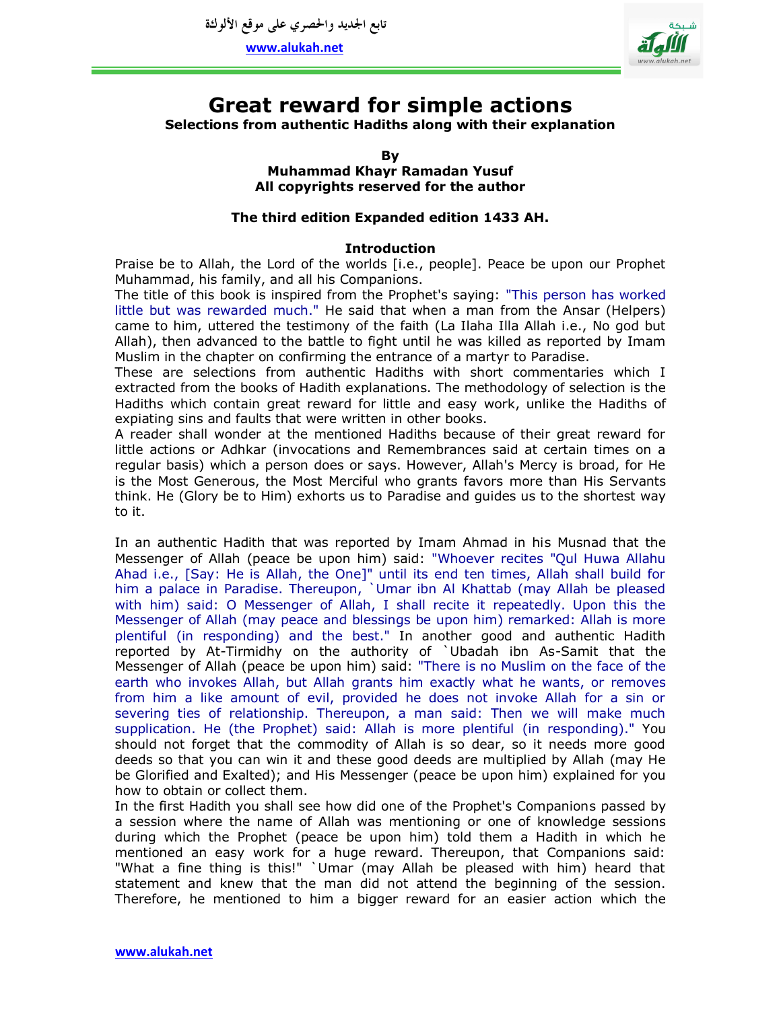

# **Great reward for simple actions**

**Selections from authentic Hadiths along with their explanation**

**By Muhammad Khayr Ramadan Yusuf All copyrights reserved for the author**

# **The third edition Expanded edition 1433 AH.**

# **Introduction**

Praise be to Allah, the Lord of the worlds [i.e., people]. Peace be upon our Prophet Muhammad, his family, and all his Companions.

The title of this book is inspired from the Prophet's saying: "This person has worked little but was rewarded much." He said that when a man from the Ansar (Helpers) came to him, uttered the testimony of the faith (La Ilaha Illa Allah i.e., No god but Allah), then advanced to the battle to fight until he was killed as reported by Imam Muslim in the chapter on confirming the entrance of a martyr to Paradise.

These are selections from authentic Hadiths with short commentaries which I extracted from the books of Hadith explanations. The methodology of selection is the Hadiths which contain great reward for little and easy work, unlike the Hadiths of expiating sins and faults that were written in other books.

A reader shall wonder at the mentioned Hadiths because of their great reward for little actions or Adhkar (invocations and Remembrances said at certain times on a regular basis) which a person does or says. However, Allah's Mercy is broad, for He is the Most Generous, the Most Merciful who grants favors more than His Servants think. He (Glory be to Him) exhorts us to Paradise and guides us to the shortest way to it.

In an authentic Hadith that was reported by Imam Ahmad in his Musnad that the Messenger of Allah (peace be upon him) said: "Whoever recites "Qul Huwa Allahu Ahad i.e., [Say: He is Allah, the One]" until its end ten times, Allah shall build for him a palace in Paradise. Thereupon, `Umar ibn Al Khattab (may Allah be pleased with him) said: O Messenger of Allah, I shall recite it repeatedly. Upon this the Messenger of Allah (may peace and blessings be upon him) remarked: Allah is more plentiful (in responding) and the best." In another good and authentic Hadith reported by At-Tirmidhy on the authority of `Ubadah ibn As-Samit that the Messenger of Allah (peace be upon him) said: "There is no Muslim on the face of the earth who invokes Allah, but Allah grants him exactly what he wants, or removes from him a like amount of evil, provided he does not invoke Allah for a sin or severing ties of relationship. Thereupon, a man said: Then we will make much supplication. He (the Prophet) said: Allah is more plentiful (in responding)." You should not forget that the commodity of Allah is so dear, so it needs more good deeds so that you can win it and these good deeds are multiplied by Allah (may He be Glorified and Exalted); and His Messenger (peace be upon him) explained for you how to obtain or collect them.

In the first Hadith you shall see how did one of the Prophet's Companions passed by a session where the name of Allah was mentioning or one of knowledge sessions during which the Prophet (peace be upon him) told them a Hadith in which he mentioned an easy work for a huge reward. Thereupon, that Companions said: "What a fine thing is this!" `Umar (may Allah be pleased with him) heard that statement and knew that the man did not attend the beginning of the session. Therefore, he mentioned to him a bigger reward for an easier action which the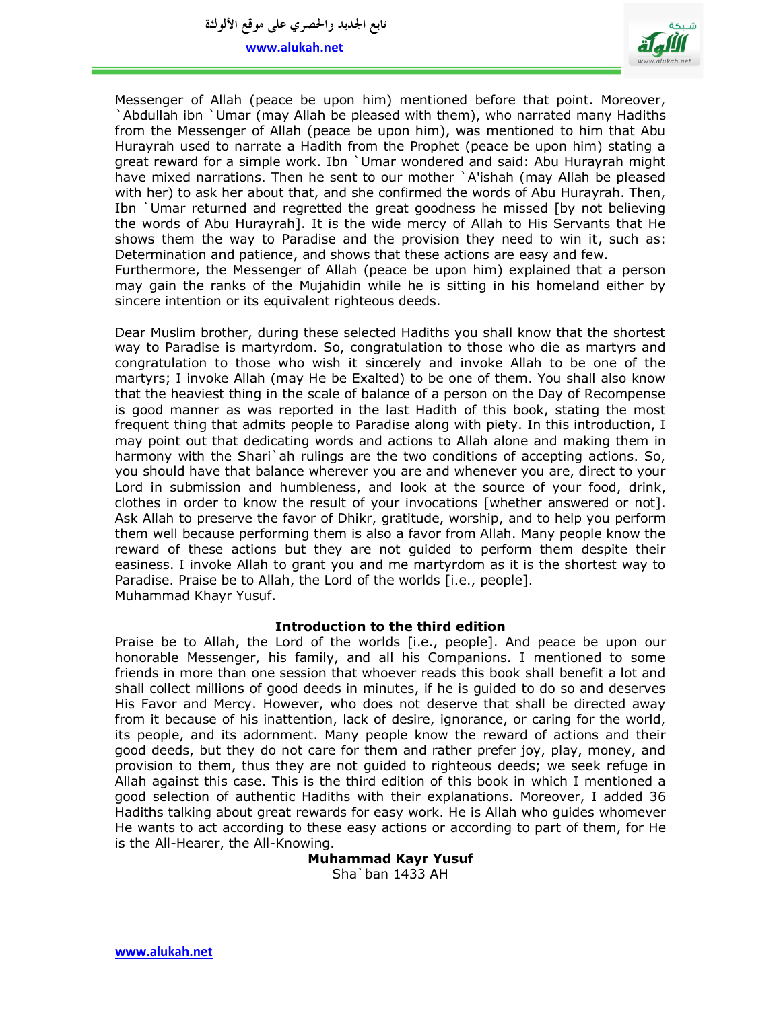**تابع اجلديد واحلصري على موقع األلوكة**

**www.alukah.net**

sincere intention or its equivalent righteous deeds.



Messenger of Allah (peace be upon him) mentioned before that point. Moreover, `Abdullah ibn `Umar (may Allah be pleased with them), who narrated many Hadiths from the Messenger of Allah (peace be upon him), was mentioned to him that Abu Hurayrah used to narrate a Hadith from the Prophet (peace be upon him) stating a great reward for a simple work. Ibn `Umar wondered and said: Abu Hurayrah might have mixed narrations. Then he sent to our mother `A'ishah (may Allah be pleased with her) to ask her about that, and she confirmed the words of Abu Hurayrah. Then, Ibn `Umar returned and regretted the great goodness he missed [by not believing the words of Abu Hurayrah]. It is the wide mercy of Allah to His Servants that He shows them the way to Paradise and the provision they need to win it, such as: Determination and patience, and shows that these actions are easy and few. Furthermore, the Messenger of Allah (peace be upon him) explained that a person may gain the ranks of the Mujahidin while he is sitting in his homeland either by

Dear Muslim brother, during these selected Hadiths you shall know that the shortest way to Paradise is martyrdom. So, congratulation to those who die as martyrs and congratulation to those who wish it sincerely and invoke Allah to be one of the martyrs; I invoke Allah (may He be Exalted) to be one of them. You shall also know that the heaviest thing in the scale of balance of a person on the Day of Recompense is good manner as was reported in the last Hadith of this book, stating the most frequent thing that admits people to Paradise along with piety. In this introduction, I may point out that dedicating words and actions to Allah alone and making them in harmony with the Shari ah rulings are the two conditions of accepting actions. So, you should have that balance wherever you are and whenever you are, direct to your Lord in submission and humbleness, and look at the source of your food, drink, clothes in order to know the result of your invocations [whether answered or not]. Ask Allah to preserve the favor of Dhikr, gratitude, worship, and to help you perform them well because performing them is also a favor from Allah. Many people know the reward of these actions but they are not guided to perform them despite their easiness. I invoke Allah to grant you and me martyrdom as it is the shortest way to Paradise. Praise be to Allah, the Lord of the worlds [i.e., people]. Muhammad Khayr Yusuf.

#### **Introduction to the third edition**

Praise be to Allah, the Lord of the worlds [i.e., people]. And peace be upon our honorable Messenger, his family, and all his Companions. I mentioned to some friends in more than one session that whoever reads this book shall benefit a lot and shall collect millions of good deeds in minutes, if he is guided to do so and deserves His Favor and Mercy. However, who does not deserve that shall be directed away from it because of his inattention, lack of desire, ignorance, or caring for the world, its people, and its adornment. Many people know the reward of actions and their good deeds, but they do not care for them and rather prefer joy, play, money, and provision to them, thus they are not guided to righteous deeds; we seek refuge in Allah against this case. This is the third edition of this book in which I mentioned a good selection of authentic Hadiths with their explanations. Moreover, I added 36 Hadiths talking about great rewards for easy work. He is Allah who guides whomever He wants to act according to these easy actions or according to part of them, for He is the All-Hearer, the All-Knowing.

> **Muhammad Kayr Yusuf** Sha`ban 1433 AH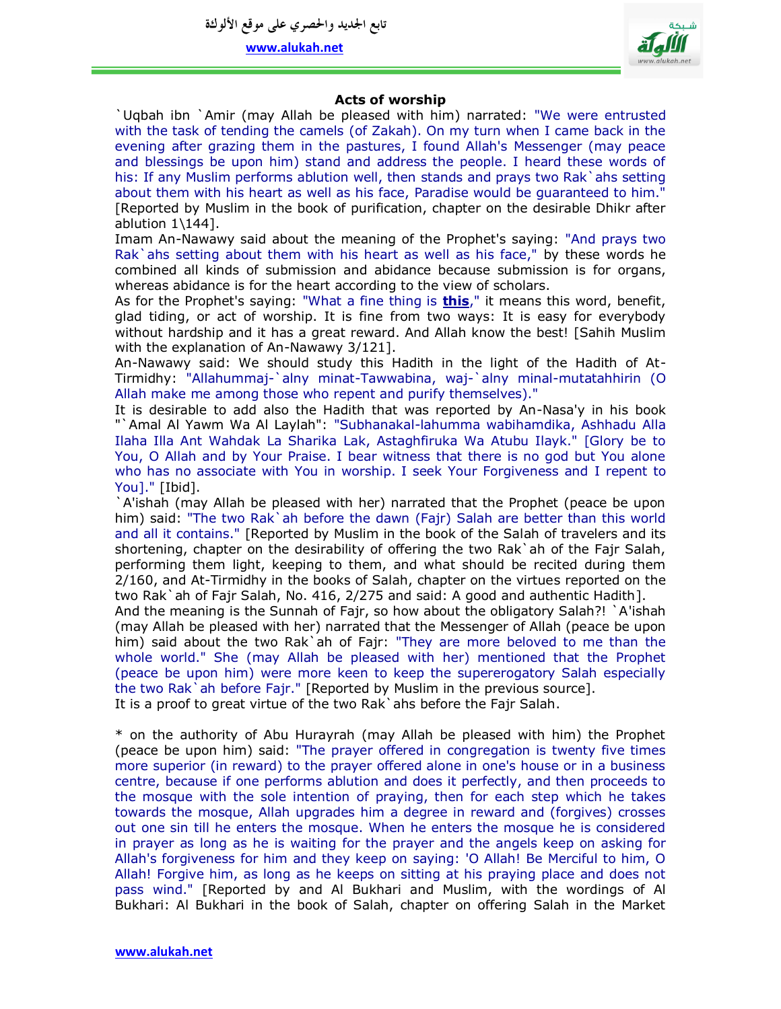**تابع اجلديد واحلصري على موقع األلوكة**

**www.alukah.net**



# **Acts of worship**

`Uqbah ibn `Amir (may Allah be pleased with him) narrated: "We were entrusted with the task of tending the camels (of Zakah). On my turn when I came back in the evening after grazing them in the pastures, I found Allah's Messenger (may peace and blessings be upon him) stand and address the people. I heard these words of his: If any Muslim performs ablution well, then stands and prays two Rak and setting about them with his heart as well as his face, Paradise would be guaranteed to him." [Reported by Muslim in the book of purification, chapter on the desirable Dhikr after ablution  $1\144$ ].

Imam An-Nawawy said about the meaning of the Prophet's saying: "And prays two Rak`ahs setting about them with his heart as well as his face," by these words he combined all kinds of submission and abidance because submission is for organs, whereas abidance is for the heart according to the view of scholars.

As for the Prophet's saying: "What a fine thing is **this**," it means this word, benefit, glad tiding, or act of worship. It is fine from two ways: It is easy for everybody without hardship and it has a great reward. And Allah know the best! [Sahih Muslim with the explanation of An-Nawawy 3/121].

An-Nawawy said: We should study this Hadith in the light of the Hadith of At-Tirmidhy: "Allahummaj-`alny minat-Tawwabina, waj-`alny minal-mutatahhirin (O Allah make me among those who repent and purify themselves)."

It is desirable to add also the Hadith that was reported by An-Nasa'y in his book "`Amal Al Yawm Wa Al Laylah": "Subhanakal-lahumma wabihamdika, Ashhadu Alla Ilaha Illa Ant Wahdak La Sharika Lak, Astaghfiruka Wa Atubu Ilayk." [Glory be to You, O Allah and by Your Praise. I bear witness that there is no god but You alone who has no associate with You in worship. I seek Your Forgiveness and I repent to You]." [Ibid].

`A'ishah (may Allah be pleased with her) narrated that the Prophet (peace be upon him) said: "The two Rak'ah before the dawn (Fajr) Salah are better than this world and all it contains." [Reported by Muslim in the book of the Salah of travelers and its shortening, chapter on the desirability of offering the two Rak`ah of the Fajr Salah, performing them light, keeping to them, and what should be recited during them 2/160, and At-Tirmidhy in the books of Salah, chapter on the virtues reported on the two Rak`ah of Fajr Salah, No. 416, 2/275 and said: A good and authentic Hadith].

And the meaning is the Sunnah of Fajr, so how about the obligatory Salah?! `A'ishah (may Allah be pleased with her) narrated that the Messenger of Allah (peace be upon him) said about the two Rak`ah of Fajr: "They are more beloved to me than the whole world." She (may Allah be pleased with her) mentioned that the Prophet (peace be upon him) were more keen to keep the supererogatory Salah especially the two Rak<sup>'</sup>ah before Fajr." [Reported by Muslim in the previous source]. It is a proof to great virtue of the two Rak`ahs before the Fajr Salah.

\* on the authority of Abu Hurayrah (may Allah be pleased with him) the Prophet (peace be upon him) said: "The prayer offered in congregation is twenty five times more superior (in reward) to the prayer offered alone in one's house or in a business centre, because if one performs ablution and does it perfectly, and then proceeds to the mosque with the sole intention of praying, then for each step which he takes towards the mosque, Allah upgrades him a degree in reward and (forgives) crosses out one sin till he enters the mosque. When he enters the mosque he is considered in prayer as long as he is waiting for the prayer and the angels keep on asking for Allah's forgiveness for him and they keep on saying: 'O Allah! Be Merciful to him, O Allah! Forgive him, as long as he keeps on sitting at his praying place and does not pass wind." [Reported by and Al Bukhari and Muslim, with the wordings of Al Bukhari: Al Bukhari in the book of Salah, chapter on offering Salah in the Market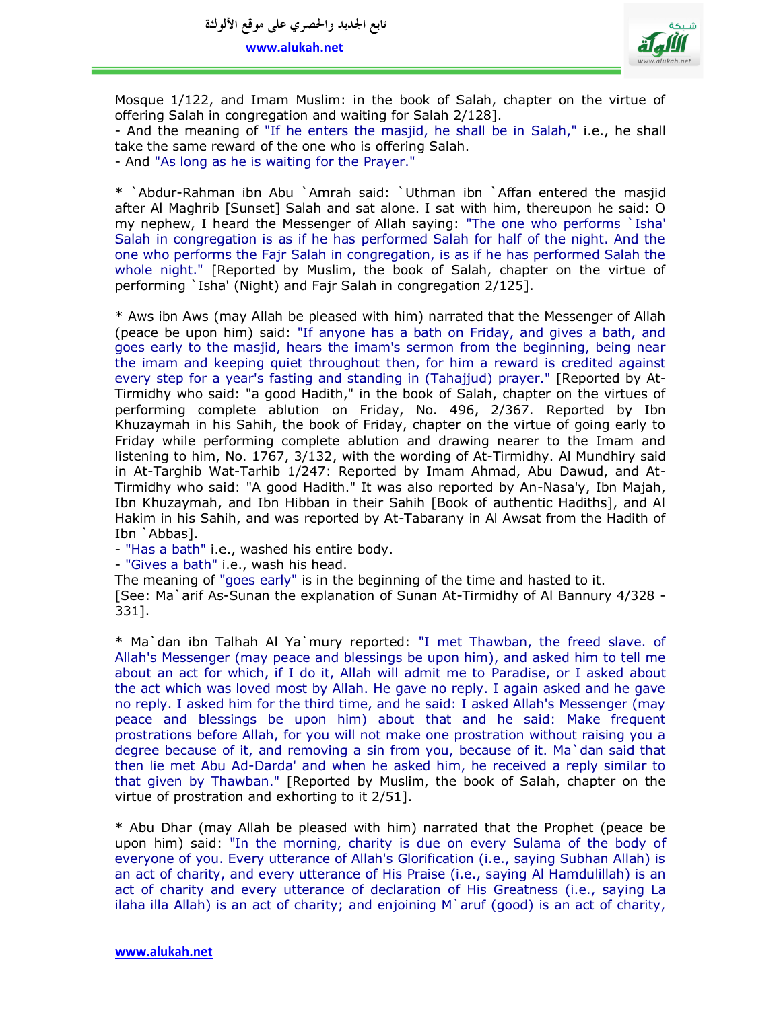

Mosque 1/122, and Imam Muslim: in the book of Salah, chapter on the virtue of offering Salah in congregation and waiting for Salah 2/128].

- And the meaning of "If he enters the masjid, he shall be in Salah," i.e., he shall take the same reward of the one who is offering Salah.

- And "As long as he is waiting for the Prayer."

\* `Abdur-Rahman ibn Abu `Amrah said: `Uthman ibn `Affan entered the masjid after Al Maghrib [Sunset] Salah and sat alone. I sat with him, thereupon he said: O my nephew, I heard the Messenger of Allah saying: "The one who performs `Isha' Salah in congregation is as if he has performed Salah for half of the night. And the one who performs the Fajr Salah in congregation, is as if he has performed Salah the whole night." [Reported by Muslim, the book of Salah, chapter on the virtue of performing `Isha' (Night) and Fajr Salah in congregation 2/125].

\* Aws ibn Aws (may Allah be pleased with him) narrated that the Messenger of Allah (peace be upon him) said: "If anyone has a bath on Friday, and gives a bath, and goes early to the masjid, hears the imam's sermon from the beginning, being near the imam and keeping quiet throughout then, for him a reward is credited against every step for a year's fasting and standing in (Tahajjud) prayer." [Reported by At-Tirmidhy who said: "a good Hadith," in the book of Salah, chapter on the virtues of performing complete ablution on Friday, No. 496, 2/367. Reported by Ibn Khuzaymah in his Sahih, the book of Friday, chapter on the virtue of going early to Friday while performing complete ablution and drawing nearer to the Imam and listening to him, No. 1767, 3/132, with the wording of At-Tirmidhy. Al Mundhiry said in At-Targhib Wat-Tarhib 1/247: Reported by Imam Ahmad, Abu Dawud, and At-Tirmidhy who said: "A good Hadith." It was also reported by An-Nasa'y, Ibn Majah, Ibn Khuzaymah, and Ibn Hibban in their Sahih [Book of authentic Hadiths], and Al Hakim in his Sahih, and was reported by At-Tabarany in Al Awsat from the Hadith of Ibn `Abbas].

- "Has a bath" i.e., washed his entire body.

- "Gives a bath" i.e., wash his head.

The meaning of "goes early" is in the beginning of the time and hasted to it.

[See: Ma`arif As-Sunan the explanation of Sunan At-Tirmidhy of Al Bannury 4/328 - 331].

\* Ma`dan ibn Talhah Al Ya`mury reported: "I met Thawban, the freed slave. of Allah's Messenger (may peace and blessings be upon him), and asked him to tell me about an act for which, if I do it, Allah will admit me to Paradise, or I asked about the act which was loved most by Allah. He gave no reply. I again asked and he gave no reply. I asked him for the third time, and he said: I asked Allah's Messenger (may peace and blessings be upon him) about that and he said: Make frequent prostrations before Allah, for you will not make one prostration without raising you a degree because of it, and removing a sin from you, because of it. Ma`dan said that then lie met Abu Ad-Darda' and when he asked him, he received a reply similar to that given by Thawban." [Reported by Muslim, the book of Salah, chapter on the virtue of prostration and exhorting to it 2/51].

\* Abu Dhar (may Allah be pleased with him) narrated that the Prophet (peace be upon him) said: "In the morning, charity is due on every Sulama of the body of everyone of you. Every utterance of Allah's Glorification (i.e., saying Subhan Allah) is an act of charity, and every utterance of His Praise (i.e., saying Al Hamdulillah) is an act of charity and every utterance of declaration of His Greatness (i.e., saying La ilaha illa Allah) is an act of charity; and enjoining  $M$  aruf (good) is an act of charity,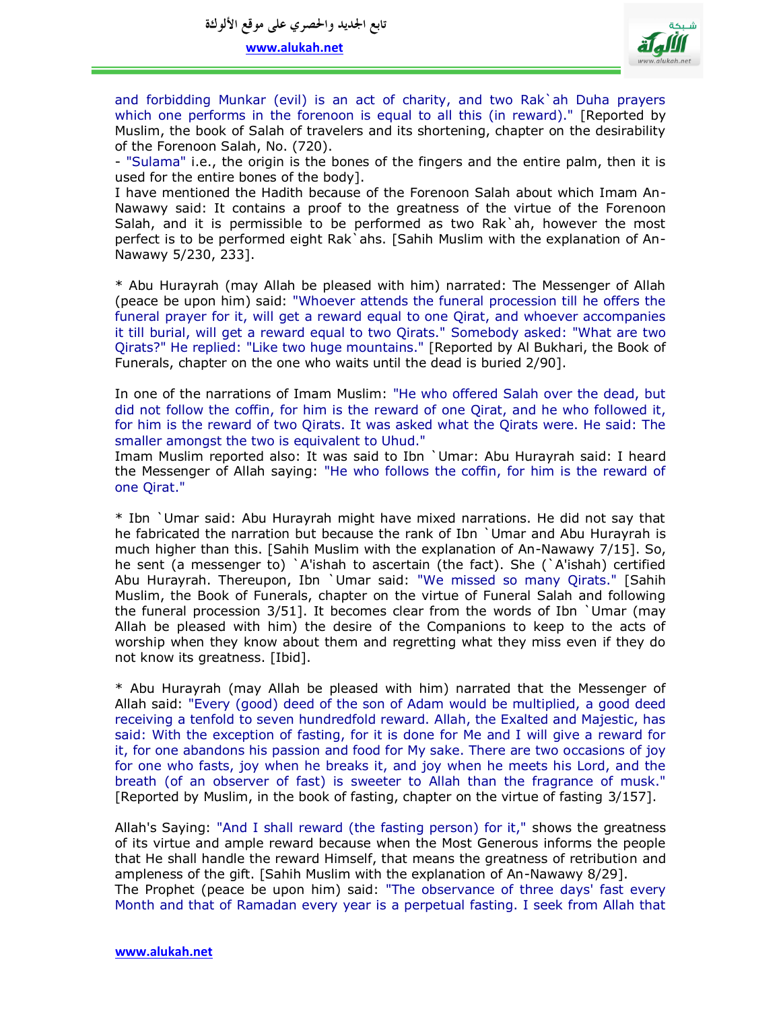

and forbidding Munkar (evil) is an act of charity, and two Rak`ah Duha prayers which one performs in the forenoon is equal to all this (in reward)." [Reported by Muslim, the book of Salah of travelers and its shortening, chapter on the desirability of the Forenoon Salah, No. (720).

- "Sulama" i.e., the origin is the bones of the fingers and the entire palm, then it is used for the entire bones of the body].

I have mentioned the Hadith because of the Forenoon Salah about which Imam An-Nawawy said: It contains a proof to the greatness of the virtue of the Forenoon Salah, and it is permissible to be performed as two Rak`ah, however the most perfect is to be performed eight Rak`ahs. [Sahih Muslim with the explanation of An-Nawawy 5/230, 233].

\* Abu Hurayrah (may Allah be pleased with him) narrated: The Messenger of Allah (peace be upon him) said: "Whoever attends the funeral procession till he offers the funeral prayer for it, will get a reward equal to one Qirat, and whoever accompanies it till burial, will get a reward equal to two Qirats." Somebody asked: "What are two Qirats?" He replied: "Like two huge mountains." [Reported by Al Bukhari, the Book of Funerals, chapter on the one who waits until the dead is buried 2/90].

In one of the narrations of Imam Muslim: "He who offered Salah over the dead, but did not follow the coffin, for him is the reward of one Qirat, and he who followed it, for him is the reward of two Qirats. It was asked what the Qirats were. He said: The smaller amongst the two is equivalent to Uhud."

Imam Muslim reported also: It was said to Ibn `Umar: Abu Hurayrah said: I heard the Messenger of Allah saying: "He who follows the coffin, for him is the reward of one Qirat."

\* Ibn `Umar said: Abu Hurayrah might have mixed narrations. He did not say that he fabricated the narration but because the rank of Ibn `Umar and Abu Hurayrah is much higher than this. [Sahih Muslim with the explanation of An-Nawawy 7/15]. So, he sent (a messenger to) `A'ishah to ascertain (the fact). She (`A'ishah) certified Abu Hurayrah. Thereupon, Ibn `Umar said: "We missed so many Qirats." [Sahih Muslim, the Book of Funerals, chapter on the virtue of Funeral Salah and following the funeral procession 3/51]. It becomes clear from the words of Ibn `Umar (may Allah be pleased with him) the desire of the Companions to keep to the acts of worship when they know about them and regretting what they miss even if they do not know its greatness. [Ibid].

\* Abu Hurayrah (may Allah be pleased with him) narrated that the Messenger of Allah said: "Every (good) deed of the son of Adam would be multiplied, a good deed receiving a tenfold to seven hundredfold reward. Allah, the Exalted and Majestic, has said: With the exception of fasting, for it is done for Me and I will give a reward for it, for one abandons his passion and food for My sake. There are two occasions of joy for one who fasts, joy when he breaks it, and joy when he meets his Lord, and the breath (of an observer of fast) is sweeter to Allah than the fragrance of musk." [Reported by Muslim, in the book of fasting, chapter on the virtue of fasting 3/157].

Allah's Saying: "And I shall reward (the fasting person) for it," shows the greatness of its virtue and ample reward because when the Most Generous informs the people that He shall handle the reward Himself, that means the greatness of retribution and ampleness of the gift. [Sahih Muslim with the explanation of An-Nawawy 8/29]. The Prophet (peace be upon him) said: "The observance of three days' fast every Month and that of Ramadan every year is a perpetual fasting. I seek from Allah that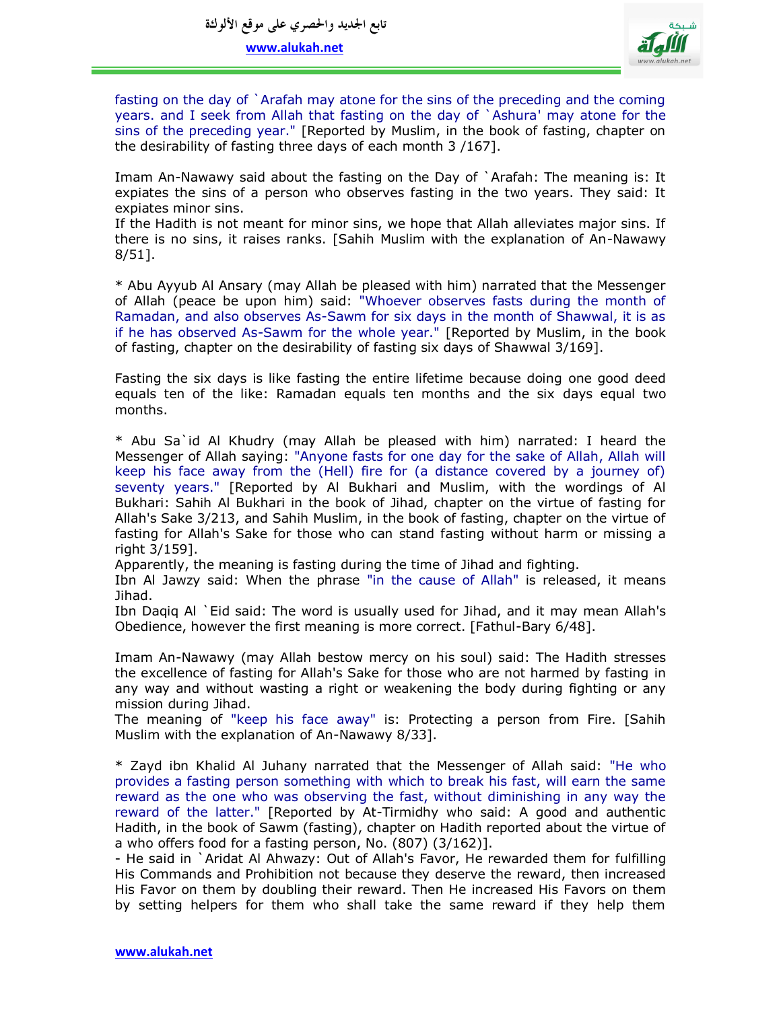

fasting on the day of `Arafah may atone for the sins of the preceding and the coming years. and I seek from Allah that fasting on the day of `Ashura' may atone for the sins of the preceding year." [Reported by Muslim, in the book of fasting, chapter on the desirability of fasting three days of each month 3 /167].

Imam An-Nawawy said about the fasting on the Day of `Arafah: The meaning is: It expiates the sins of a person who observes fasting in the two years. They said: It expiates minor sins.

If the Hadith is not meant for minor sins, we hope that Allah alleviates major sins. If there is no sins, it raises ranks. [Sahih Muslim with the explanation of An-Nawawy 8/51].

\* Abu Ayyub Al Ansary (may Allah be pleased with him) narrated that the Messenger of Allah (peace be upon him) said: "Whoever observes fasts during the month of Ramadan, and also observes As-Sawm for six days in the month of Shawwal, it is as if he has observed As-Sawm for the whole year." [Reported by Muslim, in the book of fasting, chapter on the desirability of fasting six days of Shawwal 3/169].

Fasting the six days is like fasting the entire lifetime because doing one good deed equals ten of the like: Ramadan equals ten months and the six days equal two months.

\* Abu Sa`id Al Khudry (may Allah be pleased with him) narrated: I heard the Messenger of Allah saying: "Anyone fasts for one day for the sake of Allah, Allah will keep his face away from the (Hell) fire for (a distance covered by a journey of) seventy years." [Reported by Al Bukhari and Muslim, with the wordings of Al Bukhari: Sahih Al Bukhari in the book of Jihad, chapter on the virtue of fasting for Allah's Sake 3/213, and Sahih Muslim, in the book of fasting, chapter on the virtue of fasting for Allah's Sake for those who can stand fasting without harm or missing a right 3/159].

Apparently, the meaning is fasting during the time of Jihad and fighting.

Ibn Al Jawzy said: When the phrase "in the cause of Allah" is released, it means Jihad.

Ibn Daqiq Al `Eid said: The word is usually used for Jihad, and it may mean Allah's Obedience, however the first meaning is more correct. [Fathul-Bary 6/48].

Imam An-Nawawy (may Allah bestow mercy on his soul) said: The Hadith stresses the excellence of fasting for Allah's Sake for those who are not harmed by fasting in any way and without wasting a right or weakening the body during fighting or any mission during Jihad.

The meaning of "keep his face away" is: Protecting a person from Fire. [Sahih Muslim with the explanation of An-Nawawy 8/33].

\* Zayd ibn Khalid Al Juhany narrated that the Messenger of Allah said: "He who provides a fasting person something with which to break his fast, will earn the same reward as the one who was observing the fast, without diminishing in any way the reward of the latter." [Reported by At-Tirmidhy who said: A good and authentic Hadith, in the book of Sawm (fasting), chapter on Hadith reported about the virtue of a who offers food for a fasting person, No. (807) (3/162)].

- He said in `Aridat Al Ahwazy: Out of Allah's Favor, He rewarded them for fulfilling His Commands and Prohibition not because they deserve the reward, then increased His Favor on them by doubling their reward. Then He increased His Favors on them by setting helpers for them who shall take the same reward if they help them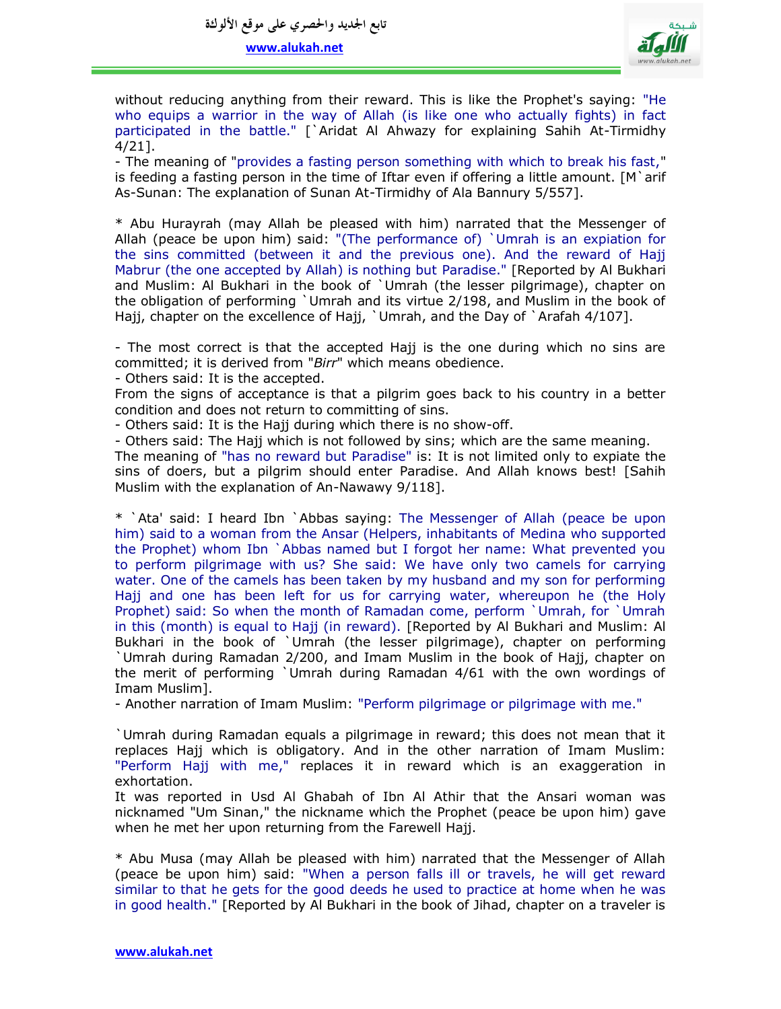

without reducing anything from their reward. This is like the Prophet's saying: "He who equips a warrior in the way of Allah (is like one who actually fights) in fact participated in the battle." [`Aridat Al Ahwazy for explaining Sahih At-Tirmidhy 4/21].

- The meaning of "provides a fasting person something with which to break his fast," is feeding a fasting person in the time of Iftar even if offering a little amount.  $[M \rangle$ arif As-Sunan: The explanation of Sunan At-Tirmidhy of Ala Bannury 5/557].

\* Abu Hurayrah (may Allah be pleased with him) narrated that the Messenger of Allah (peace be upon him) said: "(The performance of) `Umrah is an expiation for the sins committed (between it and the previous one). And the reward of Hajj Mabrur (the one accepted by Allah) is nothing but Paradise." [Reported by Al Bukhari and Muslim: Al Bukhari in the book of `Umrah (the lesser pilgrimage), chapter on the obligation of performing `Umrah and its virtue 2/198, and Muslim in the book of Hajj, chapter on the excellence of Hajj, `Umrah, and the Day of `Arafah 4/107].

- The most correct is that the accepted Hajj is the one during which no sins are committed; it is derived from "*Birr*" which means obedience.

- Others said: It is the accepted.

From the signs of acceptance is that a pilgrim goes back to his country in a better condition and does not return to committing of sins.

- Others said: It is the Hajj during which there is no show-off.

- Others said: The Hajj which is not followed by sins; which are the same meaning.

The meaning of "has no reward but Paradise" is: It is not limited only to expiate the sins of doers, but a pilgrim should enter Paradise. And Allah knows best! [Sahih Muslim with the explanation of An-Nawawy 9/118].

\* `Ata' said: I heard Ibn `Abbas saying: The Messenger of Allah (peace be upon him) said to a woman from the Ansar (Helpers, inhabitants of Medina who supported the Prophet) whom Ibn `Abbas named but I forgot her name: What prevented you to perform pilgrimage with us? She said: We have only two camels for carrying water. One of the camels has been taken by my husband and my son for performing Hajj and one has been left for us for carrying water, whereupon he (the Holy Prophet) said: So when the month of Ramadan come, perform `Umrah, for `Umrah in this (month) is equal to Hajj (in reward). [Reported by Al Bukhari and Muslim: Al Bukhari in the book of `Umrah (the lesser pilgrimage), chapter on performing `Umrah during Ramadan 2/200, and Imam Muslim in the book of Hajj, chapter on the merit of performing `Umrah during Ramadan 4/61 with the own wordings of Imam Muslim].

- Another narration of Imam Muslim: "Perform pilgrimage or pilgrimage with me."

`Umrah during Ramadan equals a pilgrimage in reward; this does not mean that it replaces Hajj which is obligatory. And in the other narration of Imam Muslim: "Perform Hajj with me," replaces it in reward which is an exaggeration in exhortation.

It was reported in Usd Al Ghabah of Ibn Al Athir that the Ansari woman was nicknamed "Um Sinan," the nickname which the Prophet (peace be upon him) gave when he met her upon returning from the Farewell Hajj.

\* Abu Musa (may Allah be pleased with him) narrated that the Messenger of Allah (peace be upon him) said: "When a person falls ill or travels, he will get reward similar to that he gets for the good deeds he used to practice at home when he was in good health." [Reported by Al Bukhari in the book of Jihad, chapter on a traveler is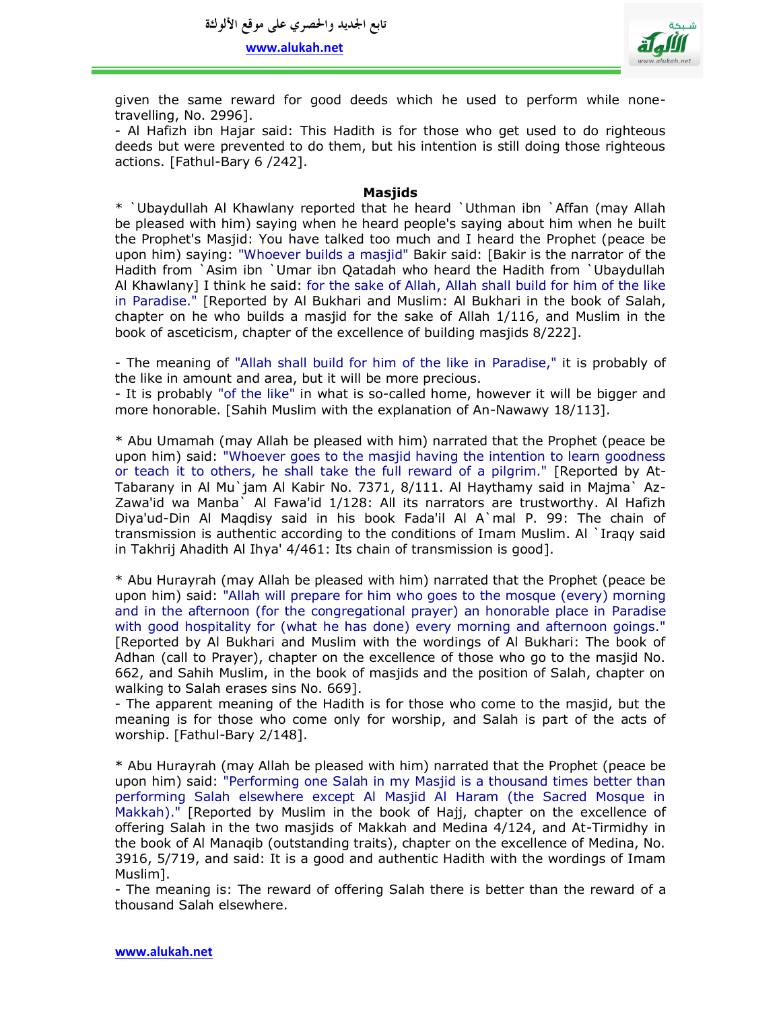

given the same reward for good deeds which he used to perform while nonetravelling, No. 2996].

- Al Hafizh ibn Hajar said: This Hadith is for those who get used to do righteous deeds but were prevented to do them, but his intention is still doing those righteous actions. [Fathul-Bary 6 /242].

## **Masjids**

\* `Ubaydullah Al Khawlany reported that he heard `Uthman ibn `Affan (may Allah be pleased with him) saying when he heard people's saying about him when he built the Prophet's Masjid: You have talked too much and I heard the Prophet (peace be upon him) saying: "Whoever builds a masjid" Bakir said: [Bakir is the narrator of the Hadith from `Asim ibn `Umar ibn Qatadah who heard the Hadith from `Ubaydullah Al Khawlany] I think he said: for the sake of Allah, Allah shall build for him of the like in Paradise." [Reported by Al Bukhari and Muslim: Al Bukhari in the book of Salah, chapter on he who builds a masjid for the sake of Allah 1/116, and Muslim in the book of asceticism, chapter of the excellence of building masjids 8/222].

- The meaning of "Allah shall build for him of the like in Paradise," it is probably of the like in amount and area, but it will be more precious.

- It is probably "of the like" in what is so-called home, however it will be bigger and more honorable. [Sahih Muslim with the explanation of An-Nawawy 18/113].

\* Abu Umamah (may Allah be pleased with him) narrated that the Prophet (peace be upon him) said: "Whoever goes to the masjid having the intention to learn goodness or teach it to others, he shall take the full reward of a pilgrim." [Reported by At-Tabarany in Al Mu`jam Al Kabir No. 7371, 8/111. Al Haythamy said in Majma` Az-Zawa'id wa Manba` Al Fawa'id 1/128: All its narrators are trustworthy. Al Hafizh Diya'ud-Din Al Maqdisy said in his book Fada'il Al A`mal P. 99: The chain of transmission is authentic according to the conditions of Imam Muslim. Al `Iraqy said in Takhrij Ahadith Al Ihya' 4/461: Its chain of transmission is good].

\* Abu Hurayrah (may Allah be pleased with him) narrated that the Prophet (peace be upon him) said: "Allah will prepare for him who goes to the mosque (every) morning and in the afternoon (for the congregational prayer) an honorable place in Paradise with good hospitality for (what he has done) every morning and afternoon goings." [Reported by Al Bukhari and Muslim with the wordings of Al Bukhari: The book of Adhan (call to Prayer), chapter on the excellence of those who go to the masjid No. 662, and Sahih Muslim, in the book of masjids and the position of Salah, chapter on walking to Salah erases sins No. 669].

- The apparent meaning of the Hadith is for those who come to the masjid, but the meaning is for those who come only for worship, and Salah is part of the acts of worship. [Fathul-Bary 2/148].

\* Abu Hurayrah (may Allah be pleased with him) narrated that the Prophet (peace be upon him) said: "Performing one Salah in my Masjid is a thousand times better than performing Salah elsewhere except Al Masjid Al Haram (the Sacred Mosque in Makkah)." [Reported by Muslim in the book of Hajj, chapter on the excellence of offering Salah in the two masjids of Makkah and Medina 4/124, and At-Tirmidhy in the book of Al Manaqib (outstanding traits), chapter on the excellence of Medina, No. 3916, 5/719, and said: It is a good and authentic Hadith with the wordings of Imam Muslim].

- The meaning is: The reward of offering Salah there is better than the reward of a thousand Salah elsewhere.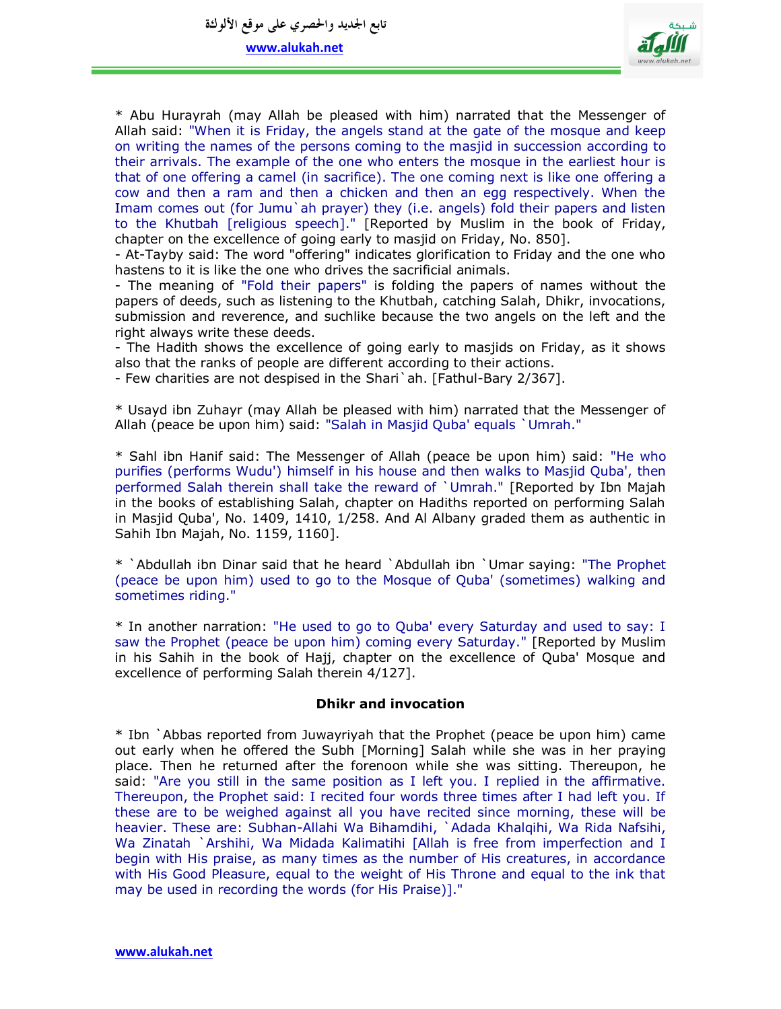**تابع اجلديد واحلصري على موقع األلوكة**

**www.alukah.net**



\* Abu Hurayrah (may Allah be pleased with him) narrated that the Messenger of Allah said: "When it is Friday, the angels stand at the gate of the mosque and keep on writing the names of the persons coming to the masjid in succession according to their arrivals. The example of the one who enters the mosque in the earliest hour is that of one offering a camel (in sacrifice). The one coming next is like one offering a cow and then a ram and then a chicken and then an egg respectively. When the Imam comes out (for Jumu`ah prayer) they (i.e. angels) fold their papers and listen to the Khutbah [religious speech]." [Reported by Muslim in the book of Friday, chapter on the excellence of going early to masjid on Friday, No. 850].

- At-Tayby said: The word "offering" indicates glorification to Friday and the one who hastens to it is like the one who drives the sacrificial animals.

- The meaning of "Fold their papers" is folding the papers of names without the papers of deeds, such as listening to the Khutbah, catching Salah, Dhikr, invocations, submission and reverence, and suchlike because the two angels on the left and the right always write these deeds.

- The Hadith shows the excellence of going early to masjids on Friday, as it shows also that the ranks of people are different according to their actions.

- Few charities are not despised in the Shari`ah. [Fathul-Bary 2/367].

\* Usayd ibn Zuhayr (may Allah be pleased with him) narrated that the Messenger of Allah (peace be upon him) said: "Salah in Masjid Quba' equals `Umrah."

\* Sahl ibn Hanif said: The Messenger of Allah (peace be upon him) said: "He who purifies (performs Wudu') himself in his house and then walks to Masjid Quba', then performed Salah therein shall take the reward of `Umrah." [Reported by Ibn Majah in the books of establishing Salah, chapter on Hadiths reported on performing Salah in Masjid Quba', No. 1409, 1410, 1/258. And Al Albany graded them as authentic in Sahih Ibn Majah, No. 1159, 1160].

\* `Abdullah ibn Dinar said that he heard `Abdullah ibn `Umar saying: "The Prophet (peace be upon him) used to go to the Mosque of Quba' (sometimes) walking and sometimes riding."

\* In another narration: "He used to go to Quba' every Saturday and used to say: I saw the Prophet (peace be upon him) coming every Saturday." [Reported by Muslim in his Sahih in the book of Hajj, chapter on the excellence of Quba' Mosque and excellence of performing Salah therein 4/127].

#### **Dhikr and invocation**

\* Ibn `Abbas reported from Juwayriyah that the Prophet (peace be upon him) came out early when he offered the Subh [Morning] Salah while she was in her praying place. Then he returned after the forenoon while she was sitting. Thereupon, he said: "Are you still in the same position as I left you. I replied in the affirmative. Thereupon, the Prophet said: I recited four words three times after I had left you. If these are to be weighed against all you have recited since morning, these will be heavier. These are: Subhan-Allahi Wa Bihamdihi, `Adada Khalqihi, Wa Rida Nafsihi, Wa Zinatah `Arshihi, Wa Midada Kalimatihi [Allah is free from imperfection and I begin with His praise, as many times as the number of His creatures, in accordance with His Good Pleasure, equal to the weight of His Throne and equal to the ink that may be used in recording the words (for His Praise)]."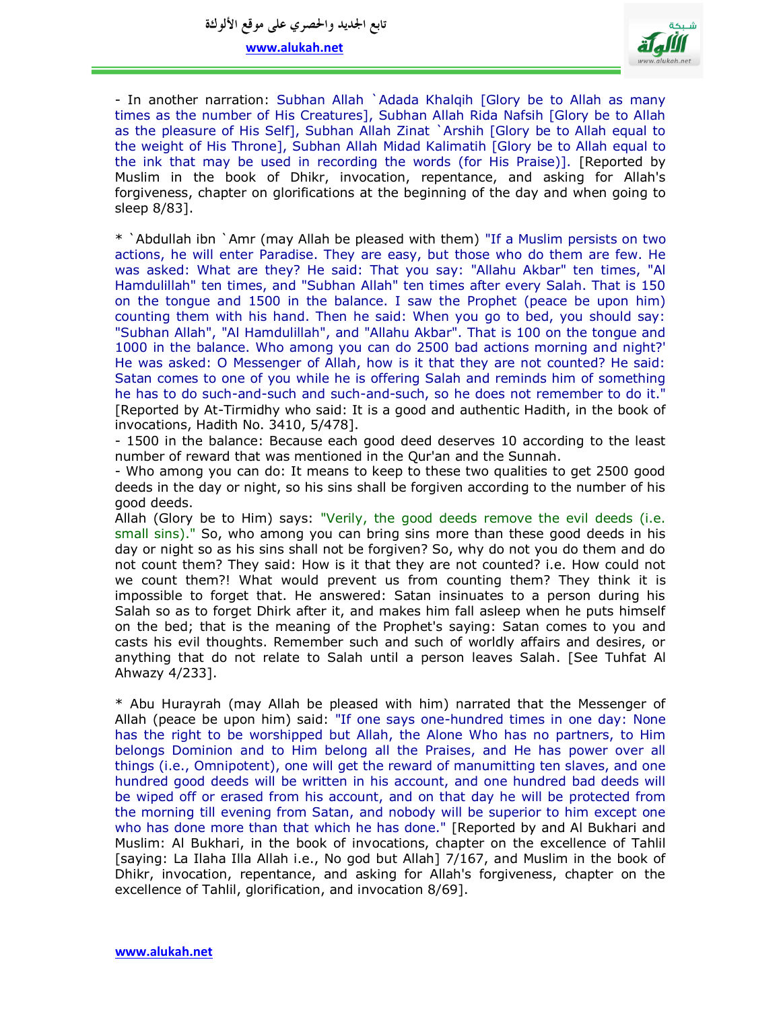

- In another narration: Subhan Allah `Adada Khalqih [Glory be to Allah as many times as the number of His Creatures], Subhan Allah Rida Nafsih [Glory be to Allah as the pleasure of His Self], Subhan Allah Zinat `Arshih [Glory be to Allah equal to the weight of His Throne], Subhan Allah Midad Kalimatih [Glory be to Allah equal to the ink that may be used in recording the words (for His Praise)]. [Reported by Muslim in the book of Dhikr, invocation, repentance, and asking for Allah's forgiveness, chapter on glorifications at the beginning of the day and when going to sleep 8/83].

\* `Abdullah ibn `Amr (may Allah be pleased with them) "If a Muslim persists on two actions, he will enter Paradise. They are easy, but those who do them are few. He was asked: What are they? He said: That you say: "Allahu Akbar" ten times, "Al Hamdulillah" ten times, and "Subhan Allah" ten times after every Salah. That is 150 on the tongue and 1500 in the balance. I saw the Prophet (peace be upon him) counting them with his hand. Then he said: When you go to bed, you should say: "Subhan Allah", "Al Hamdulillah", and "Allahu Akbar". That is 100 on the tongue and 1000 in the balance. Who among you can do 2500 bad actions morning and night?' He was asked: O Messenger of Allah, how is it that they are not counted? He said: Satan comes to one of you while he is offering Salah and reminds him of something he has to do such-and-such and such-and-such, so he does not remember to do it." [Reported by At-Tirmidhy who said: It is a good and authentic Hadith, in the book of invocations, Hadith No. 3410, 5/478].

- 1500 in the balance: Because each good deed deserves 10 according to the least number of reward that was mentioned in the Qur'an and the Sunnah.

- Who among you can do: It means to keep to these two qualities to get 2500 good deeds in the day or night, so his sins shall be forgiven according to the number of his good deeds.

Allah (Glory be to Him) says: "Verily, the good deeds remove the evil deeds (i.e. small sins)." So, who among you can bring sins more than these good deeds in his day or night so as his sins shall not be forgiven? So, why do not you do them and do not count them? They said: How is it that they are not counted? i.e. How could not we count them?! What would prevent us from counting them? They think it is impossible to forget that. He answered: Satan insinuates to a person during his Salah so as to forget Dhirk after it, and makes him fall asleep when he puts himself on the bed; that is the meaning of the Prophet's saying: Satan comes to you and casts his evil thoughts. Remember such and such of worldly affairs and desires, or anything that do not relate to Salah until a person leaves Salah. [See Tuhfat Al Ahwazy 4/233].

\* Abu Hurayrah (may Allah be pleased with him) narrated that the Messenger of Allah (peace be upon him) said: "If one says one-hundred times in one day: None has the right to be worshipped but Allah, the Alone Who has no partners, to Him belongs Dominion and to Him belong all the Praises, and He has power over all things (i.e., Omnipotent), one will get the reward of manumitting ten slaves, and one hundred good deeds will be written in his account, and one hundred bad deeds will be wiped off or erased from his account, and on that day he will be protected from the morning till evening from Satan, and nobody will be superior to him except one who has done more than that which he has done." [Reported by and Al Bukhari and Muslim: Al Bukhari, in the book of invocations, chapter on the excellence of Tahlil [saying: La Ilaha Illa Allah i.e., No god but Allah] 7/167, and Muslim in the book of Dhikr, invocation, repentance, and asking for Allah's forgiveness, chapter on the excellence of Tahlil, glorification, and invocation 8/69].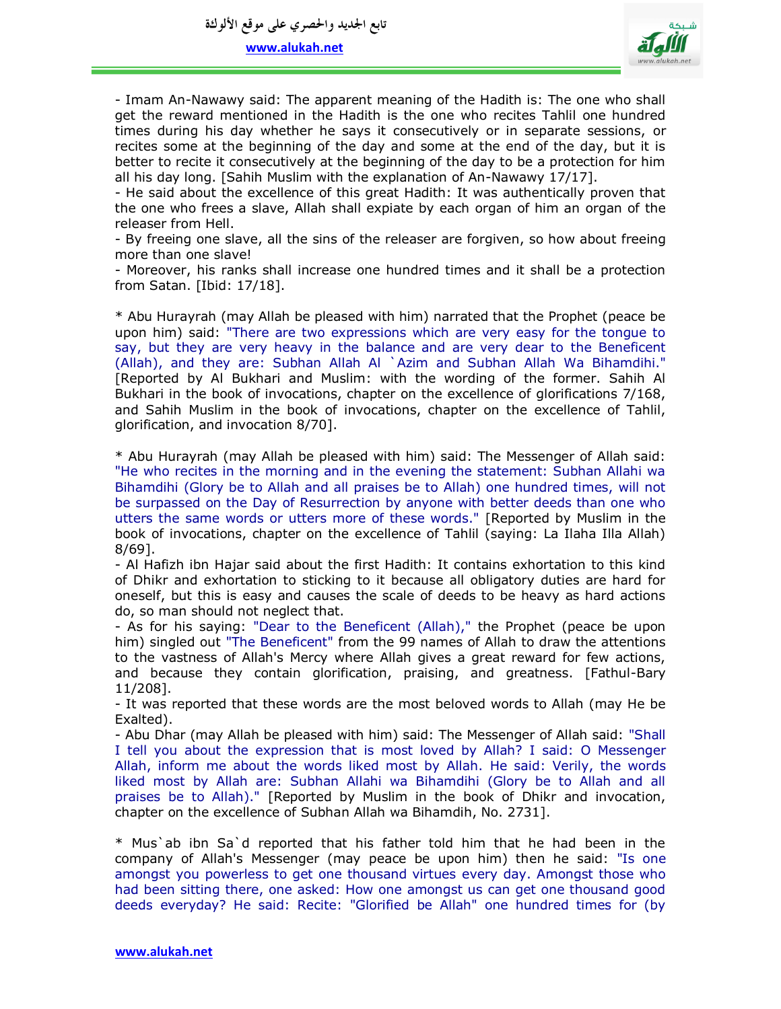

- Imam An-Nawawy said: The apparent meaning of the Hadith is: The one who shall get the reward mentioned in the Hadith is the one who recites Tahlil one hundred times during his day whether he says it consecutively or in separate sessions, or recites some at the beginning of the day and some at the end of the day, but it is better to recite it consecutively at the beginning of the day to be a protection for him all his day long. [Sahih Muslim with the explanation of An-Nawawy 17/17].

- He said about the excellence of this great Hadith: It was authentically proven that the one who frees a slave, Allah shall expiate by each organ of him an organ of the releaser from Hell.

- By freeing one slave, all the sins of the releaser are forgiven, so how about freeing more than one slave!

- Moreover, his ranks shall increase one hundred times and it shall be a protection from Satan. [Ibid: 17/18].

\* Abu Hurayrah (may Allah be pleased with him) narrated that the Prophet (peace be upon him) said: "There are two expressions which are very easy for the tongue to say, but they are very heavy in the balance and are very dear to the Beneficent (Allah), and they are: Subhan Allah Al `Azim and Subhan Allah Wa Bihamdihi." [Reported by Al Bukhari and Muslim: with the wording of the former. Sahih Al Bukhari in the book of invocations, chapter on the excellence of glorifications 7/168, and Sahih Muslim in the book of invocations, chapter on the excellence of Tahlil, glorification, and invocation 8/70].

\* Abu Hurayrah (may Allah be pleased with him) said: The Messenger of Allah said: "He who recites in the morning and in the evening the statement: Subhan Allahi wa Bihamdihi (Glory be to Allah and all praises be to Allah) one hundred times, will not be surpassed on the Day of Resurrection by anyone with better deeds than one who utters the same words or utters more of these words." [Reported by Muslim in the book of invocations, chapter on the excellence of Tahlil (saying: La Ilaha Illa Allah) 8/69].

- Al Hafizh ibn Hajar said about the first Hadith: It contains exhortation to this kind of Dhikr and exhortation to sticking to it because all obligatory duties are hard for oneself, but this is easy and causes the scale of deeds to be heavy as hard actions do, so man should not neglect that.

- As for his saying: "Dear to the Beneficent (Allah)," the Prophet (peace be upon him) singled out "The Beneficent" from the 99 names of Allah to draw the attentions to the vastness of Allah's Mercy where Allah gives a great reward for few actions, and because they contain glorification, praising, and greatness. [Fathul-Bary 11/208].

- It was reported that these words are the most beloved words to Allah (may He be Exalted).

- Abu Dhar (may Allah be pleased with him) said: The Messenger of Allah said: "Shall I tell you about the expression that is most loved by Allah? I said: O Messenger Allah, inform me about the words liked most by Allah. He said: Verily, the words liked most by Allah are: Subhan Allahi wa Bihamdihi (Glory be to Allah and all praises be to Allah)." [Reported by Muslim in the book of Dhikr and invocation, chapter on the excellence of Subhan Allah wa Bihamdih, No. 2731].

\* Mus`ab ibn Sa`d reported that his father told him that he had been in the company of Allah's Messenger (may peace be upon him) then he said: "Is one amongst you powerless to get one thousand virtues every day. Amongst those who had been sitting there, one asked: How one amongst us can get one thousand good deeds everyday? He said: Recite: "Glorified be Allah" one hundred times for (by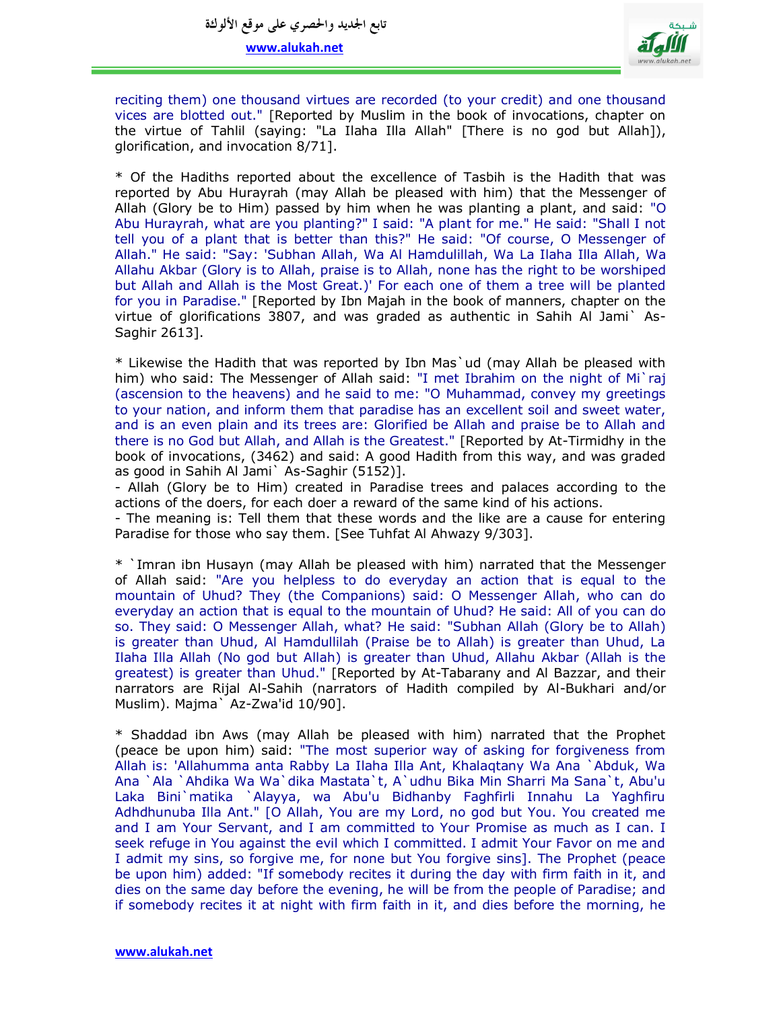

reciting them) one thousand virtues are recorded (to your credit) and one thousand vices are blotted out." [Reported by Muslim in the book of invocations, chapter on the virtue of Tahlil (saying: "La Ilaha Illa Allah" [There is no god but Allah]), glorification, and invocation 8/71].

\* Of the Hadiths reported about the excellence of Tasbih is the Hadith that was reported by Abu Hurayrah (may Allah be pleased with him) that the Messenger of Allah (Glory be to Him) passed by him when he was planting a plant, and said: "O Abu Hurayrah, what are you planting?" I said: "A plant for me." He said: "Shall I not tell you of a plant that is better than this?" He said: "Of course, O Messenger of Allah." He said: "Say: 'Subhan Allah, Wa Al Hamdulillah, Wa La Ilaha Illa Allah, Wa Allahu Akbar (Glory is to Allah, praise is to Allah, none has the right to be worshiped but Allah and Allah is the Most Great.)' For each one of them a tree will be planted for you in Paradise." [Reported by Ibn Majah in the book of manners, chapter on the virtue of glorifications 3807, and was graded as authentic in Sahih Al Jami` As-Saghir 2613].

\* Likewise the Hadith that was reported by Ibn Mas`ud (may Allah be pleased with him) who said: The Messenger of Allah said: "I met Ibrahim on the night of Mi`raj (ascension to the heavens) and he said to me: "O Muhammad, convey my greetings to your nation, and inform them that paradise has an excellent soil and sweet water, and is an even plain and its trees are: Glorified be Allah and praise be to Allah and there is no God but Allah, and Allah is the Greatest." [Reported by At-Tirmidhy in the book of invocations, (3462) and said: A good Hadith from this way, and was graded as good in Sahih Al Jami` As-Saghir (5152)].

- Allah (Glory be to Him) created in Paradise trees and palaces according to the actions of the doers, for each doer a reward of the same kind of his actions.

- The meaning is: Tell them that these words and the like are a cause for entering Paradise for those who say them. [See Tuhfat Al Ahwazy 9/303].

\* `Imran ibn Husayn (may Allah be pleased with him) narrated that the Messenger of Allah said: "Are you helpless to do everyday an action that is equal to the mountain of Uhud? They (the Companions) said: O Messenger Allah, who can do everyday an action that is equal to the mountain of Uhud? He said: All of you can do so. They said: O Messenger Allah, what? He said: "Subhan Allah (Glory be to Allah) is greater than Uhud, Al Hamdullilah (Praise be to Allah) is greater than Uhud, La Ilaha Illa Allah (No god but Allah) is greater than Uhud, Allahu Akbar (Allah is the greatest) is greater than Uhud." [Reported by At-Tabarany and Al Bazzar, and their narrators are Rijal Al-Sahih (narrators of Hadith compiled by Al-Bukhari and/or Muslim). Majma` Az-Zwa'id 10/90].

\* Shaddad ibn Aws (may Allah be pleased with him) narrated that the Prophet (peace be upon him) said: "The most superior way of asking for forgiveness from Allah is: 'Allahumma anta Rabby La Ilaha Illa Ant, Khalaqtany Wa Ana `Abduk, Wa Ana `Ala `Ahdika Wa Wa`dika Mastata`t, A`udhu Bika Min Sharri Ma Sana`t, Abu'u Laka Bini`matika `Alayya, wa Abu'u Bidhanby Faghfirli Innahu La Yaghfiru Adhdhunuba Illa Ant." [O Allah, You are my Lord, no god but You. You created me and I am Your Servant, and I am committed to Your Promise as much as I can. I seek refuge in You against the evil which I committed. I admit Your Favor on me and I admit my sins, so forgive me, for none but You forgive sins]. The Prophet (peace be upon him) added: "If somebody recites it during the day with firm faith in it, and dies on the same day before the evening, he will be from the people of Paradise; and if somebody recites it at night with firm faith in it, and dies before the morning, he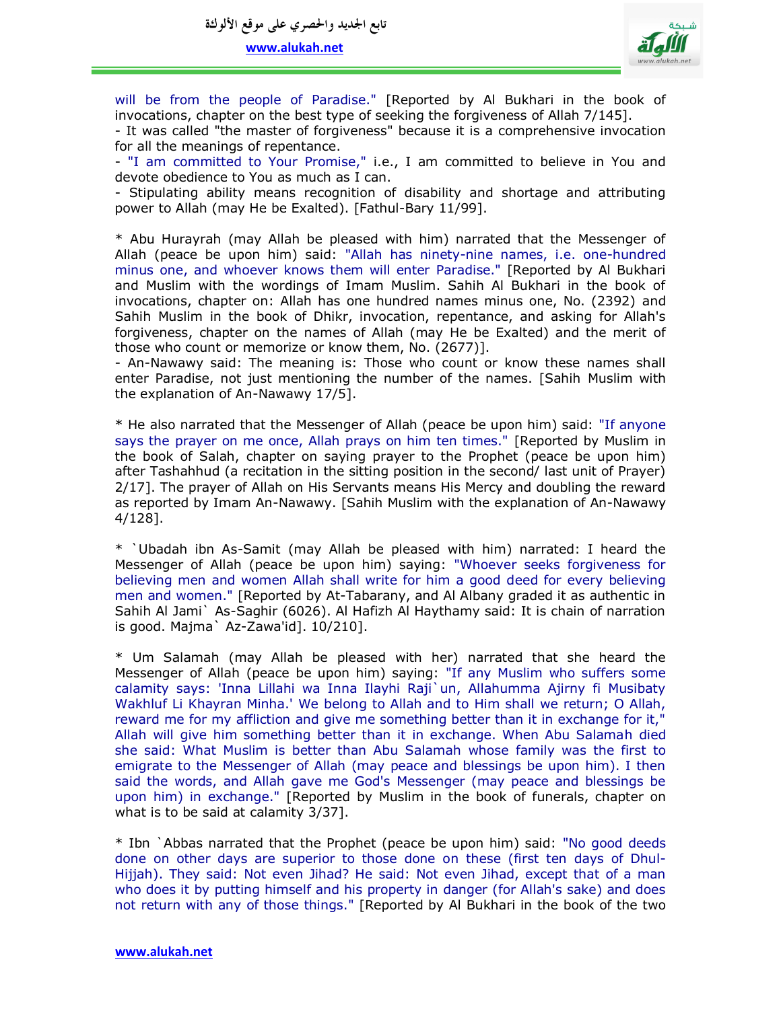

will be from the people of Paradise." [Reported by Al Bukhari in the book of invocations, chapter on the best type of seeking the forgiveness of Allah 7/145].

- It was called "the master of forgiveness" because it is a comprehensive invocation for all the meanings of repentance.

- "I am committed to Your Promise," i.e., I am committed to believe in You and devote obedience to You as much as I can.

- Stipulating ability means recognition of disability and shortage and attributing power to Allah (may He be Exalted). [Fathul-Bary 11/99].

\* Abu Hurayrah (may Allah be pleased with him) narrated that the Messenger of Allah (peace be upon him) said: "Allah has ninety-nine names, i.e. one-hundred minus one, and whoever knows them will enter Paradise." [Reported by Al Bukhari and Muslim with the wordings of Imam Muslim. Sahih Al Bukhari in the book of invocations, chapter on: Allah has one hundred names minus one, No. (2392) and Sahih Muslim in the book of Dhikr, invocation, repentance, and asking for Allah's forgiveness, chapter on the names of Allah (may He be Exalted) and the merit of those who count or memorize or know them, No. (2677)].

- An-Nawawy said: The meaning is: Those who count or know these names shall enter Paradise, not just mentioning the number of the names. [Sahih Muslim with the explanation of An-Nawawy 17/5].

\* He also narrated that the Messenger of Allah (peace be upon him) said: "If anyone says the prayer on me once, Allah prays on him ten times." [Reported by Muslim in the book of Salah, chapter on saying prayer to the Prophet (peace be upon him) after Tashahhud (a recitation in the sitting position in the second/ last unit of Prayer) 2/17]. The prayer of Allah on His Servants means His Mercy and doubling the reward as reported by Imam An-Nawawy. [Sahih Muslim with the explanation of An-Nawawy 4/128].

\* `Ubadah ibn As-Samit (may Allah be pleased with him) narrated: I heard the Messenger of Allah (peace be upon him) saying: "Whoever seeks forgiveness for believing men and women Allah shall write for him a good deed for every believing men and women." [Reported by At-Tabarany, and Al Albany graded it as authentic in Sahih Al Jami` As-Saghir (6026). Al Hafizh Al Haythamy said: It is chain of narration is good. Majma` Az-Zawa'id]. 10/210].

\* Um Salamah (may Allah be pleased with her) narrated that she heard the Messenger of Allah (peace be upon him) saying: "If any Muslim who suffers some calamity says: 'Inna Lillahi wa Inna Ilayhi Raji`un, Allahumma Ajirny fi Musibaty Wakhluf Li Khayran Minha.' We belong to Allah and to Him shall we return; O Allah, reward me for my affliction and give me something better than it in exchange for it," Allah will give him something better than it in exchange. When Abu Salamah died she said: What Muslim is better than Abu Salamah whose family was the first to emigrate to the Messenger of Allah (may peace and blessings be upon him). I then said the words, and Allah gave me God's Messenger (may peace and blessings be upon him) in exchange." [Reported by Muslim in the book of funerals, chapter on what is to be said at calamity 3/37].

\* Ibn `Abbas narrated that the Prophet (peace be upon him) said: "No good deeds done on other days are superior to those done on these (first ten days of Dhul-Hijjah). They said: Not even Jihad? He said: Not even Jihad, except that of a man who does it by putting himself and his property in danger (for Allah's sake) and does not return with any of those things." [Reported by Al Bukhari in the book of the two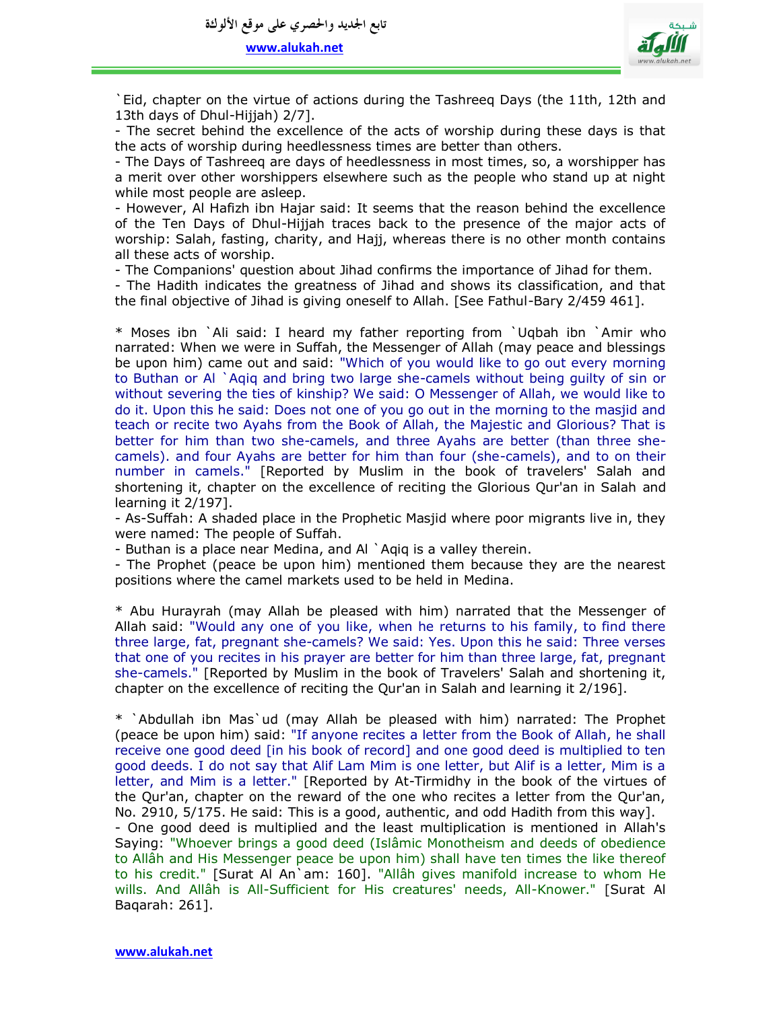

`Eid, chapter on the virtue of actions during the Tashreeq Days (the 11th, 12th and 13th days of Dhul-Hijjah) 2/7].

- The secret behind the excellence of the acts of worship during these days is that the acts of worship during heedlessness times are better than others.

- The Days of Tashreeq are days of heedlessness in most times, so, a worshipper has a merit over other worshippers elsewhere such as the people who stand up at night while most people are asleep.

- However, Al Hafizh ibn Hajar said: It seems that the reason behind the excellence of the Ten Days of Dhul-Hijjah traces back to the presence of the major acts of worship: Salah, fasting, charity, and Hajj, whereas there is no other month contains all these acts of worship.

- The Companions' question about Jihad confirms the importance of Jihad for them.

- The Hadith indicates the greatness of Jihad and shows its classification, and that the final objective of Jihad is giving oneself to Allah. [See Fathul-Bary 2/459 461].

\* Moses ibn `Ali said: I heard my father reporting from `Uqbah ibn `Amir who narrated: When we were in Suffah, the Messenger of Allah (may peace and blessings be upon him) came out and said: "Which of you would like to go out every morning to Buthan or Al `Aqiq and bring two large she-camels without being guilty of sin or without severing the ties of kinship? We said: O Messenger of Allah, we would like to do it. Upon this he said: Does not one of you go out in the morning to the masjid and teach or recite two Ayahs from the Book of Allah, the Majestic and Glorious? That is better for him than two she-camels, and three Ayahs are better (than three shecamels). and four Ayahs are better for him than four (she-camels), and to on their number in camels." [Reported by Muslim in the book of travelers' Salah and shortening it, chapter on the excellence of reciting the Glorious Qur'an in Salah and learning it 2/197].

- As-Suffah: A shaded place in the Prophetic Masjid where poor migrants live in, they were named: The people of Suffah.

- Buthan is a place near Medina, and Al `Aqiq is a valley therein.

- The Prophet (peace be upon him) mentioned them because they are the nearest positions where the camel markets used to be held in Medina.

\* Abu Hurayrah (may Allah be pleased with him) narrated that the Messenger of Allah said: "Would any one of you like, when he returns to his family, to find there three large, fat, pregnant she-camels? We said: Yes. Upon this he said: Three verses that one of you recites in his prayer are better for him than three large, fat, pregnant she-camels." [Reported by Muslim in the book of Travelers' Salah and shortening it, chapter on the excellence of reciting the Qur'an in Salah and learning it 2/196].

\* `Abdullah ibn Mas`ud (may Allah be pleased with him) narrated: The Prophet (peace be upon him) said: "If anyone recites a letter from the Book of Allah, he shall receive one good deed [in his book of record] and one good deed is multiplied to ten good deeds. I do not say that Alif Lam Mim is one letter, but Alif is a letter, Mim is a letter, and Mim is a letter." [Reported by At-Tirmidhy in the book of the virtues of the Qur'an, chapter on the reward of the one who recites a letter from the Qur'an, No. 2910, 5/175. He said: This is a good, authentic, and odd Hadith from this way]. - One good deed is multiplied and the least multiplication is mentioned in Allah's Saying: "Whoever brings a good deed (Islâmic Monotheism and deeds of obedience to Allâh and His Messenger peace be upon him) shall have ten times the like thereof to his credit." [Surat Al An`am: 160]. "Allâh gives manifold increase to whom He wills. And Allâh is All-Sufficient for His creatures' needs, All-Knower." [Surat Al Baqarah: 261].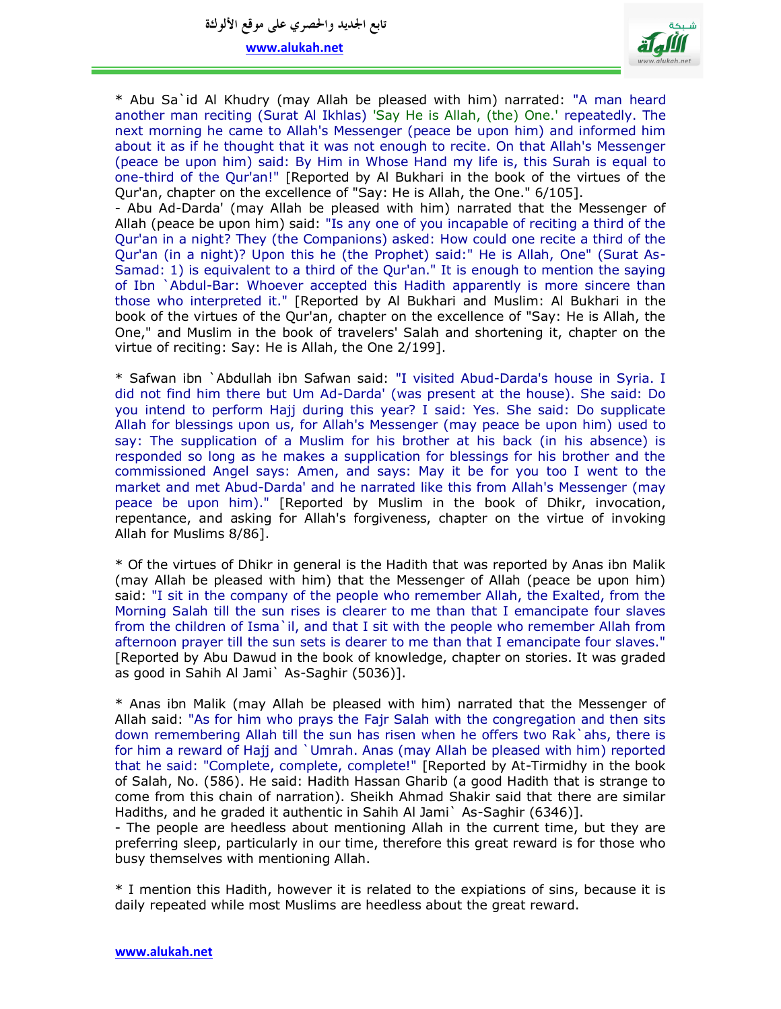**تابع اجلديد واحلصري على موقع األلوكة**

**www.alukah.net**



\* Abu Sa`id Al Khudry (may Allah be pleased with him) narrated: "A man heard another man reciting (Surat Al Ikhlas) 'Say He is Allah, (the) One.' repeatedly. The next morning he came to Allah's Messenger (peace be upon him) and informed him about it as if he thought that it was not enough to recite. On that Allah's Messenger (peace be upon him) said: By Him in Whose Hand my life is, this Surah is equal to one-third of the Qur'an!" [Reported by Al Bukhari in the book of the virtues of the Qur'an, chapter on the excellence of "Say: He is Allah, the One." 6/105].

- Abu Ad-Darda' (may Allah be pleased with him) narrated that the Messenger of Allah (peace be upon him) said: "Is any one of you incapable of reciting a third of the Qur'an in a night? They (the Companions) asked: How could one recite a third of the Qur'an (in a night)? Upon this he (the Prophet) said:" He is Allah, One" (Surat As-Samad: 1) is equivalent to a third of the Qur'an." It is enough to mention the saying of Ibn `Abdul-Bar: Whoever accepted this Hadith apparently is more sincere than those who interpreted it." [Reported by Al Bukhari and Muslim: Al Bukhari in the book of the virtues of the Qur'an, chapter on the excellence of "Say: He is Allah, the One," and Muslim in the book of travelers' Salah and shortening it, chapter on the virtue of reciting: Say: He is Allah, the One 2/199].

\* Safwan ibn `Abdullah ibn Safwan said: "I visited Abud-Darda's house in Syria. I did not find him there but Um Ad-Darda' (was present at the house). She said: Do you intend to perform Hajj during this year? I said: Yes. She said: Do supplicate Allah for blessings upon us, for Allah's Messenger (may peace be upon him) used to say: The supplication of a Muslim for his brother at his back (in his absence) is responded so long as he makes a supplication for blessings for his brother and the commissioned Angel says: Amen, and says: May it be for you too I went to the market and met Abud-Darda' and he narrated like this from Allah's Messenger (may peace be upon him)." [Reported by Muslim in the book of Dhikr, invocation, repentance, and asking for Allah's forgiveness, chapter on the virtue of invoking Allah for Muslims 8/86].

\* Of the virtues of Dhikr in general is the Hadith that was reported by Anas ibn Malik (may Allah be pleased with him) that the Messenger of Allah (peace be upon him) said: "I sit in the company of the people who remember Allah, the Exalted, from the Morning Salah till the sun rises is clearer to me than that I emancipate four slaves from the children of Isma`il, and that I sit with the people who remember Allah from afternoon prayer till the sun sets is dearer to me than that I emancipate four slaves." [Reported by Abu Dawud in the book of knowledge, chapter on stories. It was graded as good in Sahih Al Jami` As-Saghir (5036)].

\* Anas ibn Malik (may Allah be pleased with him) narrated that the Messenger of Allah said: "As for him who prays the Fajr Salah with the congregation and then sits down remembering Allah till the sun has risen when he offers two Rak`ahs, there is for him a reward of Hajj and `Umrah. Anas (may Allah be pleased with him) reported that he said: "Complete, complete, complete!" [Reported by At-Tirmidhy in the book of Salah, No. (586). He said: Hadith Hassan Gharib (a good Hadith that is strange to come from this chain of narration). Sheikh Ahmad Shakir said that there are similar Hadiths, and he graded it authentic in Sahih Al Jami` As-Saghir (6346)].

- The people are heedless about mentioning Allah in the current time, but they are preferring sleep, particularly in our time, therefore this great reward is for those who busy themselves with mentioning Allah.

\* I mention this Hadith, however it is related to the expiations of sins, because it is daily repeated while most Muslims are heedless about the great reward.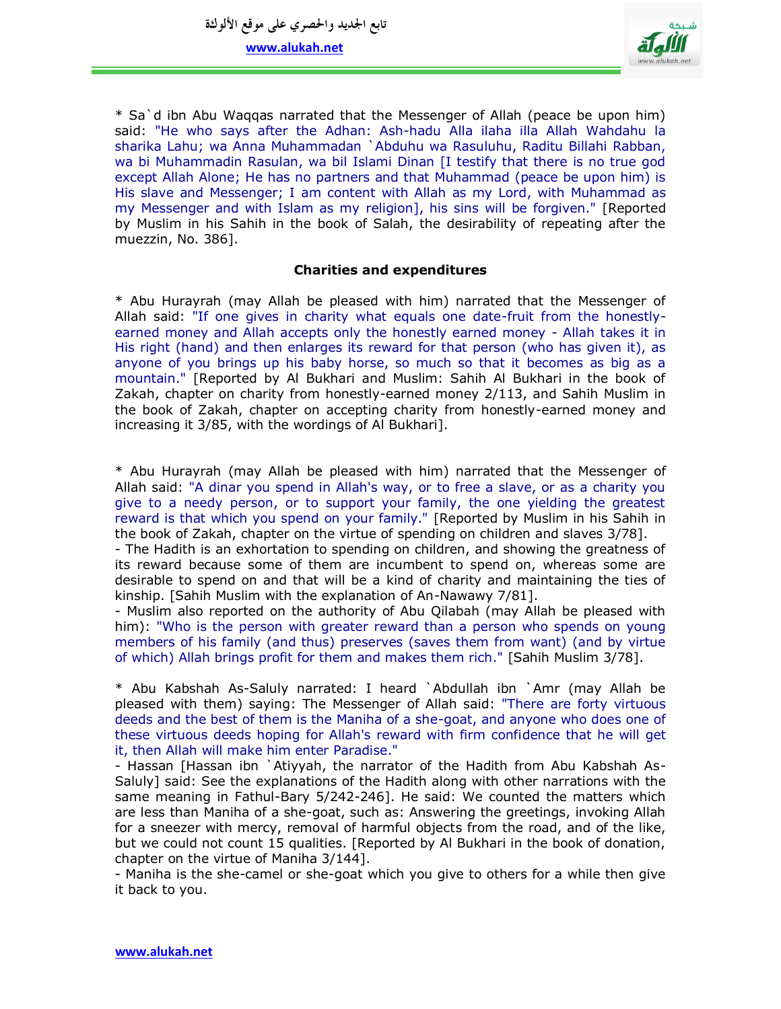

\* Sa`d ibn Abu Waqqas narrated that the Messenger of Allah (peace be upon him) said: "He who says after the Adhan: Ash-hadu Alla ilaha illa Allah Wahdahu la sharika Lahu; wa Anna Muhammadan `Abduhu wa Rasuluhu, Raditu Billahi Rabban, wa bi Muhammadin Rasulan, wa bil Islami Dinan [I testify that there is no true god except Allah Alone; He has no partners and that Muhammad (peace be upon him) is His slave and Messenger; I am content with Allah as my Lord, with Muhammad as my Messenger and with Islam as my religion], his sins will be forgiven." [Reported by Muslim in his Sahih in the book of Salah, the desirability of repeating after the muezzin, No. 386].

# **Charities and expenditures**

\* Abu Hurayrah (may Allah be pleased with him) narrated that the Messenger of Allah said: "If one gives in charity what equals one date-fruit from the honestlyearned money and Allah accepts only the honestly earned money - Allah takes it in His right (hand) and then enlarges its reward for that person (who has given it), as anyone of you brings up his baby horse, so much so that it becomes as big as a mountain." [Reported by Al Bukhari and Muslim: Sahih Al Bukhari in the book of Zakah, chapter on charity from honestly-earned money 2/113, and Sahih Muslim in the book of Zakah, chapter on accepting charity from honestly-earned money and increasing it 3/85, with the wordings of Al Bukhari].

\* Abu Hurayrah (may Allah be pleased with him) narrated that the Messenger of Allah said: "A dinar you spend in Allah's way, or to free a slave, or as a charity you give to a needy person, or to support your family, the one yielding the greatest reward is that which you spend on your family." [Reported by Muslim in his Sahih in the book of Zakah, chapter on the virtue of spending on children and slaves 3/78].

- The Hadith is an exhortation to spending on children, and showing the greatness of its reward because some of them are incumbent to spend on, whereas some are desirable to spend on and that will be a kind of charity and maintaining the ties of kinship. [Sahih Muslim with the explanation of An-Nawawy 7/81].

- Muslim also reported on the authority of Abu Qilabah (may Allah be pleased with him): "Who is the person with greater reward than a person who spends on young members of his family (and thus) preserves (saves them from want) (and by virtue of which) Allah brings profit for them and makes them rich." [Sahih Muslim 3/78].

\* Abu Kabshah As-Saluly narrated: I heard `Abdullah ibn `Amr (may Allah be pleased with them) saying: The Messenger of Allah said: "There are forty virtuous deeds and the best of them is the Maniha of a she-goat, and anyone who does one of these virtuous deeds hoping for Allah's reward with firm confidence that he will get it, then Allah will make him enter Paradise."

- Hassan [Hassan ibn `Atiyyah, the narrator of the Hadith from Abu Kabshah As-Saluly] said: See the explanations of the Hadith along with other narrations with the same meaning in Fathul-Bary 5/242-246]. He said: We counted the matters which are less than Maniha of a she-goat, such as: Answering the greetings, invoking Allah for a sneezer with mercy, removal of harmful objects from the road, and of the like, but we could not count 15 qualities. [Reported by Al Bukhari in the book of donation, chapter on the virtue of Maniha 3/144].

- Maniha is the she-camel or she-goat which you give to others for a while then give it back to you.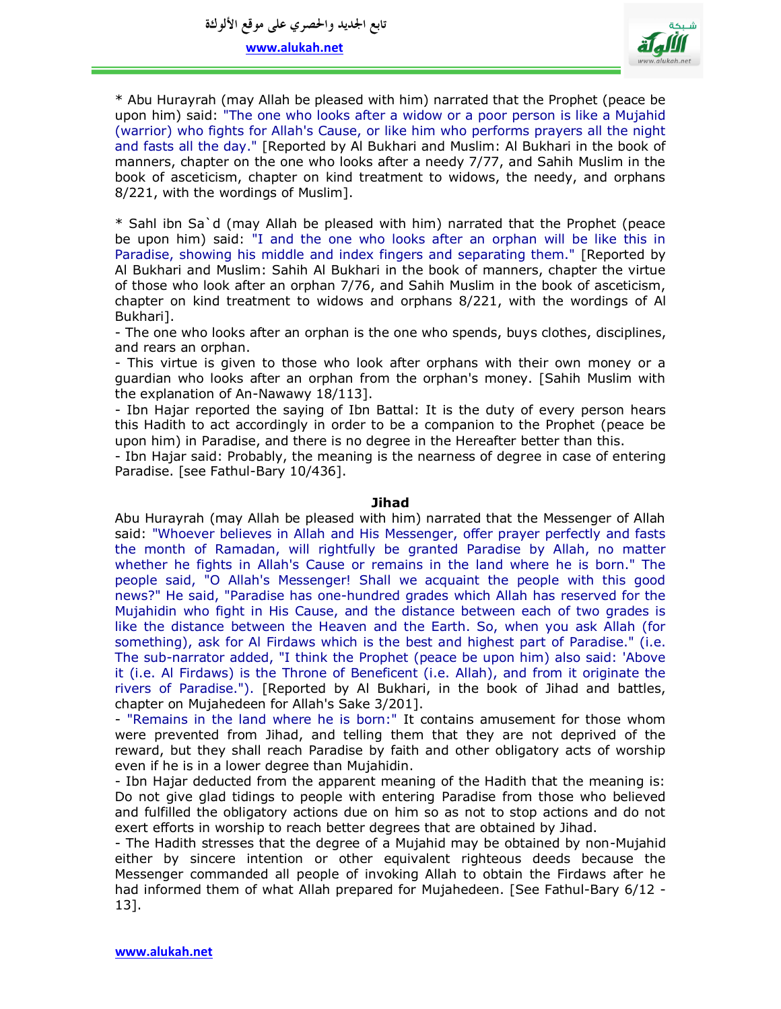

\* Abu Hurayrah (may Allah be pleased with him) narrated that the Prophet (peace be upon him) said: "The one who looks after a widow or a poor person is like a Mujahid (warrior) who fights for Allah's Cause, or like him who performs prayers all the night and fasts all the day." [Reported by Al Bukhari and Muslim: Al Bukhari in the book of manners, chapter on the one who looks after a needy 7/77, and Sahih Muslim in the book of asceticism, chapter on kind treatment to widows, the needy, and orphans 8/221, with the wordings of Muslim].

\* Sahl ibn Sa`d (may Allah be pleased with him) narrated that the Prophet (peace be upon him) said: "I and the one who looks after an orphan will be like this in Paradise, showing his middle and index fingers and separating them." [Reported by Al Bukhari and Muslim: Sahih Al Bukhari in the book of manners, chapter the virtue of those who look after an orphan 7/76, and Sahih Muslim in the book of asceticism, chapter on kind treatment to widows and orphans 8/221, with the wordings of Al Bukhari].

- The one who looks after an orphan is the one who spends, buys clothes, disciplines, and rears an orphan.

- This virtue is given to those who look after orphans with their own money or a guardian who looks after an orphan from the orphan's money. [Sahih Muslim with the explanation of An-Nawawy 18/113].

- Ibn Hajar reported the saying of Ibn Battal: It is the duty of every person hears this Hadith to act accordingly in order to be a companion to the Prophet (peace be upon him) in Paradise, and there is no degree in the Hereafter better than this.

- Ibn Hajar said: Probably, the meaning is the nearness of degree in case of entering Paradise. [see Fathul-Bary 10/436].

#### **Jihad**

Abu Hurayrah (may Allah be pleased with him) narrated that the Messenger of Allah said: "Whoever believes in Allah and His Messenger, offer prayer perfectly and fasts the month of Ramadan, will rightfully be granted Paradise by Allah, no matter whether he fights in Allah's Cause or remains in the land where he is born." The people said, "O Allah's Messenger! Shall we acquaint the people with this good news?" He said, "Paradise has one-hundred grades which Allah has reserved for the Mujahidin who fight in His Cause, and the distance between each of two grades is like the distance between the Heaven and the Earth. So, when you ask Allah (for something), ask for Al Firdaws which is the best and highest part of Paradise." (i.e. The sub-narrator added, "I think the Prophet (peace be upon him) also said: 'Above it (i.e. Al Firdaws) is the Throne of Beneficent (i.e. Allah), and from it originate the rivers of Paradise."). [Reported by Al Bukhari, in the book of Jihad and battles, chapter on Mujahedeen for Allah's Sake 3/201].

- "Remains in the land where he is born:" It contains amusement for those whom were prevented from Jihad, and telling them that they are not deprived of the reward, but they shall reach Paradise by faith and other obligatory acts of worship even if he is in a lower degree than Mujahidin.

- Ibn Hajar deducted from the apparent meaning of the Hadith that the meaning is: Do not give glad tidings to people with entering Paradise from those who believed and fulfilled the obligatory actions due on him so as not to stop actions and do not exert efforts in worship to reach better degrees that are obtained by Jihad.

- The Hadith stresses that the degree of a Mujahid may be obtained by non-Mujahid either by sincere intention or other equivalent righteous deeds because the Messenger commanded all people of invoking Allah to obtain the Firdaws after he had informed them of what Allah prepared for Mujahedeen. [See Fathul-Bary 6/12 -13].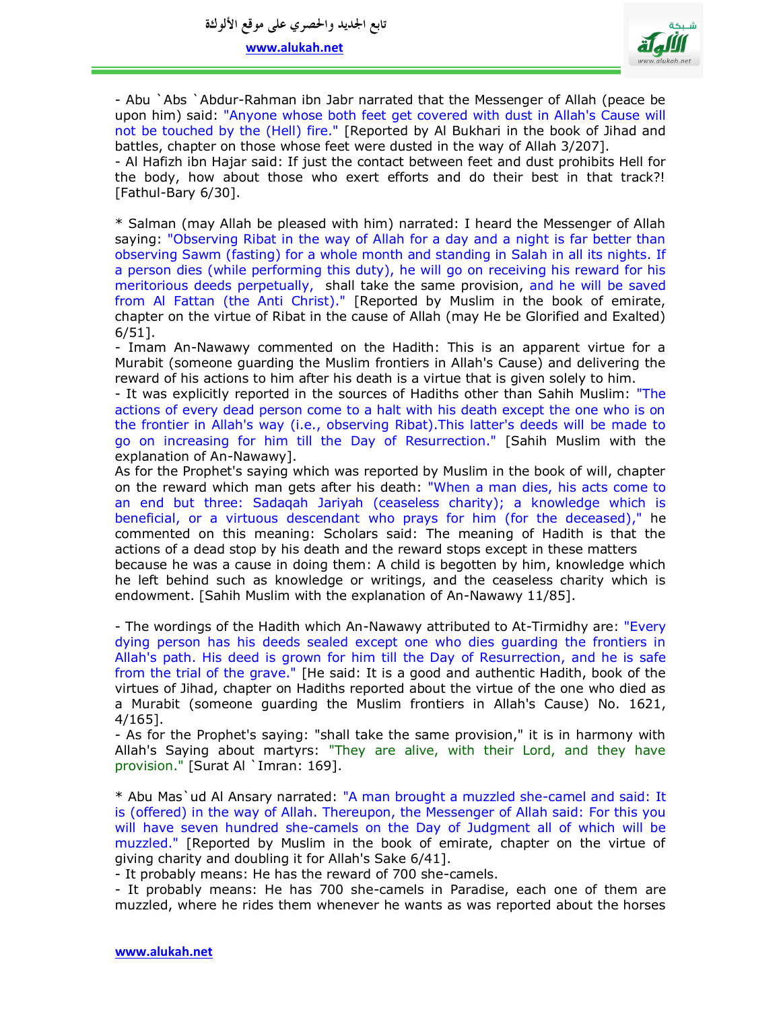

- Abu `Abs `Abdur-Rahman ibn Jabr narrated that the Messenger of Allah (peace be upon him) said: "Anyone whose both feet get covered with dust in Allah's Cause will not be touched by the (Hell) fire." [Reported by Al Bukhari in the book of Jihad and battles, chapter on those whose feet were dusted in the way of Allah 3/207]. - Al Hafizh ibn Hajar said: If just the contact between feet and dust prohibits Hell for the body, how about those who exert efforts and do their best in that track?!

[Fathul-Bary 6/30].

\* Salman (may Allah be pleased with him) narrated: I heard the Messenger of Allah saying: "Observing Ribat in the way of Allah for a day and a night is far better than observing Sawm (fasting) for a whole month and standing in Salah in all its nights. If a person dies (while performing this duty), he will go on receiving his reward for his meritorious deeds perpetually, shall take the same provision, and he will be saved from Al Fattan (the Anti Christ)." [Reported by Muslim in the book of emirate, chapter on the virtue of Ribat in the cause of Allah (may He be Glorified and Exalted) 6/51].

- Imam An-Nawawy commented on the Hadith: This is an apparent virtue for a Murabit (someone guarding the Muslim frontiers in Allah's Cause) and delivering the reward of his actions to him after his death is a virtue that is given solely to him.

- It was explicitly reported in the sources of Hadiths other than Sahih Muslim: "The actions of every dead person come to a halt with his death except the one who is on the frontier in Allah's way (i.e., observing Ribat).This latter's deeds will be made to go on increasing for him till the Day of Resurrection." [Sahih Muslim with the explanation of An-Nawawy].

As for the Prophet's saying which was reported by Muslim in the book of will, chapter on the reward which man gets after his death: "When a man dies, his acts come to an end but three: Sadaqah Jariyah (ceaseless charity); a knowledge which is beneficial, or a virtuous descendant who prays for him (for the deceased)," he commented on this meaning: Scholars said: The meaning of Hadith is that the actions of a dead stop by his death and the reward stops except in these matters

because he was a cause in doing them: A child is begotten by him, knowledge which he left behind such as knowledge or writings, and the ceaseless charity which is endowment. [Sahih Muslim with the explanation of An-Nawawy 11/85].

- The wordings of the Hadith which An-Nawawy attributed to At-Tirmidhy are: "Every dying person has his deeds sealed except one who dies guarding the frontiers in Allah's path. His deed is grown for him till the Day of Resurrection, and he is safe from the trial of the grave." [He said: It is a good and authentic Hadith, book of the virtues of Jihad, chapter on Hadiths reported about the virtue of the one who died as a Murabit (someone guarding the Muslim frontiers in Allah's Cause) No. 1621, 4/165].

- As for the Prophet's saying: "shall take the same provision," it is in harmony with Allah's Saying about martyrs: "They are alive, with their Lord, and they have provision." [Surat Al `Imran: 169].

\* Abu Mas`ud Al Ansary narrated: "A man brought a muzzled she-camel and said: It is (offered) in the way of Allah. Thereupon, the Messenger of Allah said: For this you will have seven hundred she-camels on the Day of Judgment all of which will be muzzled." [Reported by Muslim in the book of emirate, chapter on the virtue of giving charity and doubling it for Allah's Sake 6/41].

- It probably means: He has the reward of 700 she-camels.

- It probably means: He has 700 she-camels in Paradise, each one of them are muzzled, where he rides them whenever he wants as was reported about the horses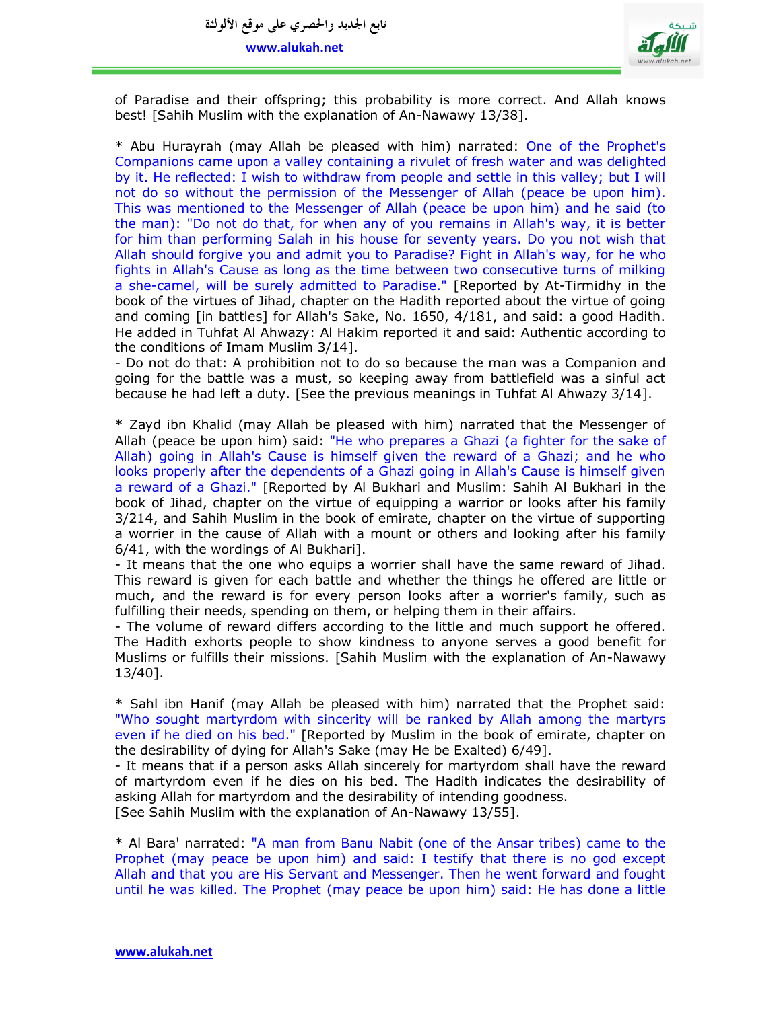

of Paradise and their offspring; this probability is more correct. And Allah knows best! [Sahih Muslim with the explanation of An-Nawawy 13/38].

\* Abu Hurayrah (may Allah be pleased with him) narrated: One of the Prophet's Companions came upon a valley containing a rivulet of fresh water and was delighted by it. He reflected: I wish to withdraw from people and settle in this valley; but I will not do so without the permission of the Messenger of Allah (peace be upon him). This was mentioned to the Messenger of Allah (peace be upon him) and he said (to the man): "Do not do that, for when any of you remains in Allah's way, it is better for him than performing Salah in his house for seventy years. Do you not wish that Allah should forgive you and admit you to Paradise? Fight in Allah's way, for he who fights in Allah's Cause as long as the time between two consecutive turns of milking a she-camel, will be surely admitted to Paradise." [Reported by At-Tirmidhy in the book of the virtues of Jihad, chapter on the Hadith reported about the virtue of going and coming [in battles] for Allah's Sake, No. 1650, 4/181, and said: a good Hadith. He added in Tuhfat Al Ahwazy: Al Hakim reported it and said: Authentic according to the conditions of Imam Muslim 3/14].

- Do not do that: A prohibition not to do so because the man was a Companion and going for the battle was a must, so keeping away from battlefield was a sinful act because he had left a duty. [See the previous meanings in Tuhfat Al Ahwazy 3/14].

\* Zayd ibn Khalid (may Allah be pleased with him) narrated that the Messenger of Allah (peace be upon him) said: "He who prepares a Ghazi (a fighter for the sake of Allah) going in Allah's Cause is himself given the reward of a Ghazi; and he who looks properly after the dependents of a Ghazi going in Allah's Cause is himself given a reward of a Ghazi." [Reported by Al Bukhari and Muslim: Sahih Al Bukhari in the book of Jihad, chapter on the virtue of equipping a warrior or looks after his family 3/214, and Sahih Muslim in the book of emirate, chapter on the virtue of supporting a worrier in the cause of Allah with a mount or others and looking after his family 6/41, with the wordings of Al Bukhari].

- It means that the one who equips a worrier shall have the same reward of Jihad. This reward is given for each battle and whether the things he offered are little or much, and the reward is for every person looks after a worrier's family, such as fulfilling their needs, spending on them, or helping them in their affairs.

- The volume of reward differs according to the little and much support he offered. The Hadith exhorts people to show kindness to anyone serves a good benefit for Muslims or fulfills their missions. [Sahih Muslim with the explanation of An-Nawawy 13/40].

\* Sahl ibn Hanif (may Allah be pleased with him) narrated that the Prophet said: "Who sought martyrdom with sincerity will be ranked by Allah among the martyrs even if he died on his bed." [Reported by Muslim in the book of emirate, chapter on the desirability of dying for Allah's Sake (may He be Exalted) 6/49].

- It means that if a person asks Allah sincerely for martyrdom shall have the reward of martyrdom even if he dies on his bed. The Hadith indicates the desirability of asking Allah for martyrdom and the desirability of intending goodness. [See Sahih Muslim with the explanation of An-Nawawy 13/55].

\* Al Bara' narrated: "A man from Banu Nabit (one of the Ansar tribes) came to the Prophet (may peace be upon him) and said: I testify that there is no god except Allah and that you are His Servant and Messenger. Then he went forward and fought until he was killed. The Prophet (may peace be upon him) said: He has done a little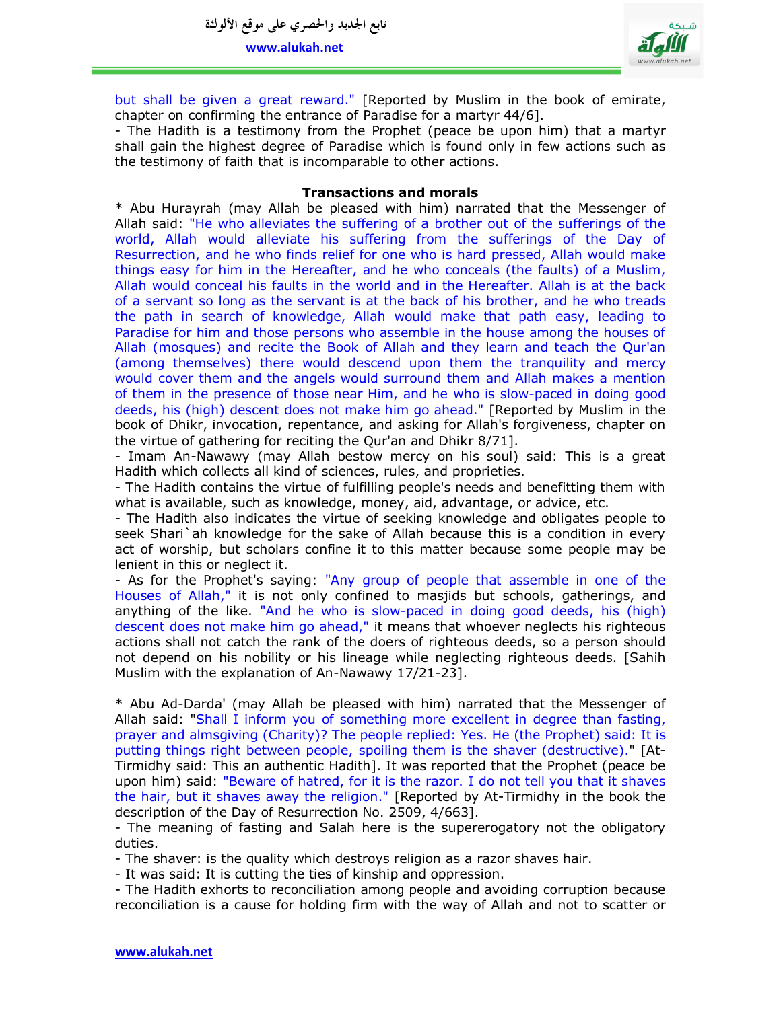

but shall be given a great reward." [Reported by Muslim in the book of emirate, chapter on confirming the entrance of Paradise for a martyr 44/6].

- The Hadith is a testimony from the Prophet (peace be upon him) that a martyr shall gain the highest degree of Paradise which is found only in few actions such as the testimony of faith that is incomparable to other actions.

## **Transactions and morals**

\* Abu Hurayrah (may Allah be pleased with him) narrated that the Messenger of Allah said: "He who alleviates the suffering of a brother out of the sufferings of the world, Allah would alleviate his suffering from the sufferings of the Day of Resurrection, and he who finds relief for one who is hard pressed, Allah would make things easy for him in the Hereafter, and he who conceals (the faults) of a Muslim, Allah would conceal his faults in the world and in the Hereafter. Allah is at the back of a servant so long as the servant is at the back of his brother, and he who treads the path in search of knowledge, Allah would make that path easy, leading to Paradise for him and those persons who assemble in the house among the houses of Allah (mosques) and recite the Book of Allah and they learn and teach the Qur'an (among themselves) there would descend upon them the tranquility and mercy would cover them and the angels would surround them and Allah makes a mention of them in the presence of those near Him, and he who is slow-paced in doing good deeds, his (high) descent does not make him go ahead." [Reported by Muslim in the book of Dhikr, invocation, repentance, and asking for Allah's forgiveness, chapter on the virtue of gathering for reciting the Qur'an and Dhikr 8/71].

- Imam An-Nawawy (may Allah bestow mercy on his soul) said: This is a great Hadith which collects all kind of sciences, rules, and proprieties.

- The Hadith contains the virtue of fulfilling people's needs and benefitting them with what is available, such as knowledge, money, aid, advantage, or advice, etc.

- The Hadith also indicates the virtue of seeking knowledge and obligates people to seek Shari`ah knowledge for the sake of Allah because this is a condition in every act of worship, but scholars confine it to this matter because some people may be lenient in this or neglect it.

- As for the Prophet's saying: "Any group of people that assemble in one of the Houses of Allah," it is not only confined to masjids but schools, gatherings, and anything of the like. "And he who is slow-paced in doing good deeds, his (high) descent does not make him go ahead," it means that whoever neglects his righteous actions shall not catch the rank of the doers of righteous deeds, so a person should not depend on his nobility or his lineage while neglecting righteous deeds. [Sahih Muslim with the explanation of An-Nawawy 17/21-23].

\* Abu Ad-Darda' (may Allah be pleased with him) narrated that the Messenger of Allah said: "Shall I inform you of something more excellent in degree than fasting, prayer and almsgiving (Charity)? The people replied: Yes. He (the Prophet) said: It is putting things right between people, spoiling them is the shaver (destructive)." [At-Tirmidhy said: This an authentic Hadith]. It was reported that the Prophet (peace be upon him) said: "Beware of hatred, for it is the razor. I do not tell you that it shaves the hair, but it shaves away the religion." [Reported by At-Tirmidhy in the book the description of the Day of Resurrection No. 2509, 4/663].

- The meaning of fasting and Salah here is the supererogatory not the obligatory duties.

- The shaver: is the quality which destroys religion as a razor shaves hair.

- It was said: It is cutting the ties of kinship and oppression.

- The Hadith exhorts to reconciliation among people and avoiding corruption because reconciliation is a cause for holding firm with the way of Allah and not to scatter or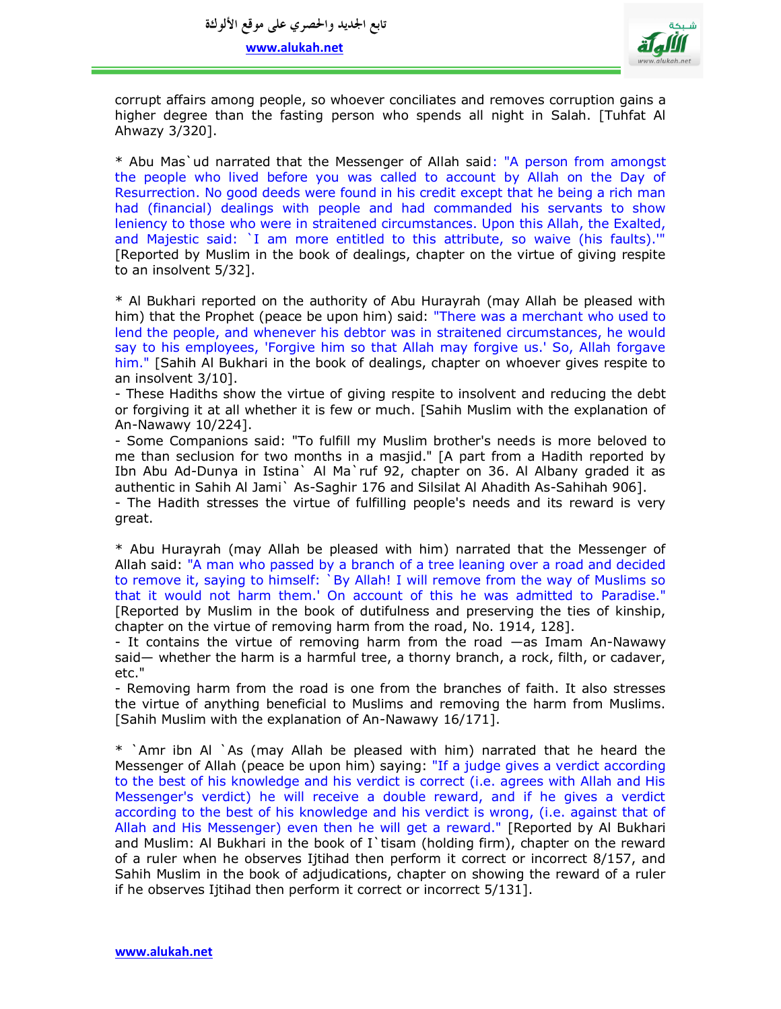

corrupt affairs among people, so whoever conciliates and removes corruption gains a higher degree than the fasting person who spends all night in Salah. [Tuhfat Al Ahwazy 3/320].

\* Abu Mas`ud narrated that the Messenger of Allah said: "A person from amongst the people who lived before you was called to account by Allah on the Day of Resurrection. No good deeds were found in his credit except that he being a rich man had (financial) dealings with people and had commanded his servants to show leniency to those who were in straitened circumstances. Upon this Allah, the Exalted, and Majestic said: `I am more entitled to this attribute, so waive (his faults).'" [Reported by Muslim in the book of dealings, chapter on the virtue of giving respite to an insolvent 5/32].

\* Al Bukhari reported on the authority of Abu Hurayrah (may Allah be pleased with him) that the Prophet (peace be upon him) said: "There was a merchant who used to lend the people, and whenever his debtor was in straitened circumstances, he would say to his employees, 'Forgive him so that Allah may forgive us.' So, Allah forgave him." [Sahih Al Bukhari in the book of dealings, chapter on whoever gives respite to an insolvent 3/10].

- These Hadiths show the virtue of giving respite to insolvent and reducing the debt or forgiving it at all whether it is few or much. [Sahih Muslim with the explanation of An-Nawawy 10/224].

- Some Companions said: "To fulfill my Muslim brother's needs is more beloved to me than seclusion for two months in a masjid." [A part from a Hadith reported by Ibn Abu Ad-Dunya in Istina` Al Ma`ruf 92, chapter on 36. Al Albany graded it as authentic in Sahih Al Jami` As-Saghir 176 and Silsilat Al Ahadith As-Sahihah 906].

- The Hadith stresses the virtue of fulfilling people's needs and its reward is very great.

\* Abu Hurayrah (may Allah be pleased with him) narrated that the Messenger of Allah said: "A man who passed by a branch of a tree leaning over a road and decided to remove it, saying to himself: `By Allah! I will remove from the way of Muslims so that it would not harm them.' On account of this he was admitted to Paradise." [Reported by Muslim in the book of dutifulness and preserving the ties of kinship, chapter on the virtue of removing harm from the road, No. 1914, 128].

- It contains the virtue of removing harm from the road —as Imam An-Nawawy said— whether the harm is a harmful tree, a thorny branch, a rock, filth, or cadaver, etc."

- Removing harm from the road is one from the branches of faith. It also stresses the virtue of anything beneficial to Muslims and removing the harm from Muslims. [Sahih Muslim with the explanation of An-Nawawy 16/171].

\* `Amr ibn Al `As (may Allah be pleased with him) narrated that he heard the Messenger of Allah (peace be upon him) saying: "If a judge gives a verdict according to the best of his knowledge and his verdict is correct (i.e. agrees with Allah and His Messenger's verdict) he will receive a double reward, and if he gives a verdict according to the best of his knowledge and his verdict is wrong, (i.e. against that of Allah and His Messenger) even then he will get a reward." [Reported by Al Bukhari and Muslim: Al Bukhari in the book of I'tisam (holding firm), chapter on the reward of a ruler when he observes Ijtihad then perform it correct or incorrect 8/157, and Sahih Muslim in the book of adjudications, chapter on showing the reward of a ruler if he observes Ijtihad then perform it correct or incorrect 5/131].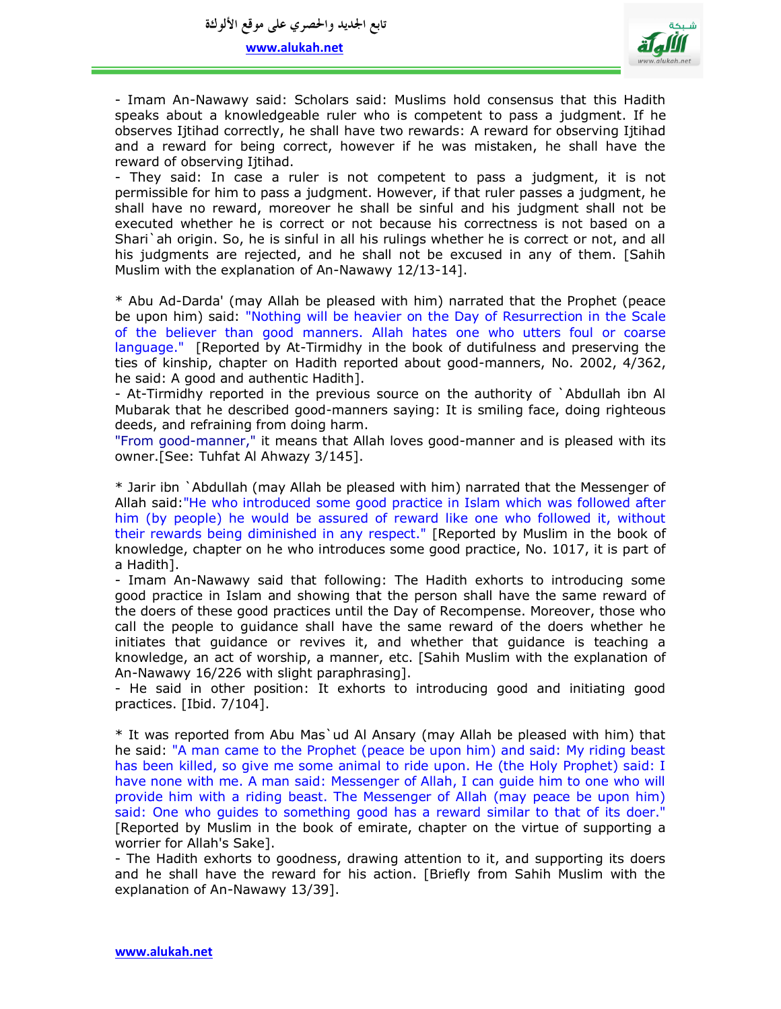

- Imam An-Nawawy said: Scholars said: Muslims hold consensus that this Hadith speaks about a knowledgeable ruler who is competent to pass a judgment. If he observes Ijtihad correctly, he shall have two rewards: A reward for observing Ijtihad and a reward for being correct, however if he was mistaken, he shall have the reward of observing Ijtihad.

- They said: In case a ruler is not competent to pass a judgment, it is not permissible for him to pass a judgment. However, if that ruler passes a judgment, he shall have no reward, moreover he shall be sinful and his judgment shall not be executed whether he is correct or not because his correctness is not based on a Shari`ah origin. So, he is sinful in all his rulings whether he is correct or not, and all his judgments are rejected, and he shall not be excused in any of them. [Sahih Muslim with the explanation of An-Nawawy 12/13-14].

\* Abu Ad-Darda' (may Allah be pleased with him) narrated that the Prophet (peace be upon him) said: "Nothing will be heavier on the Day of Resurrection in the Scale of the believer than good manners. Allah hates one who utters foul or coarse language." [Reported by At-Tirmidhy in the book of dutifulness and preserving the ties of kinship, chapter on Hadith reported about good-manners, No. 2002, 4/362, he said: A good and authentic Hadith].

- At-Tirmidhy reported in the previous source on the authority of `Abdullah ibn Al Mubarak that he described good-manners saying: It is smiling face, doing righteous deeds, and refraining from doing harm.

"From good-manner," it means that Allah loves good-manner and is pleased with its owner.[See: Tuhfat Al Ahwazy 3/145].

\* Jarir ibn `Abdullah (may Allah be pleased with him) narrated that the Messenger of Allah said:"He who introduced some good practice in Islam which was followed after him (by people) he would be assured of reward like one who followed it, without their rewards being diminished in any respect." [Reported by Muslim in the book of knowledge, chapter on he who introduces some good practice, No. 1017, it is part of a Hadith].

- Imam An-Nawawy said that following: The Hadith exhorts to introducing some good practice in Islam and showing that the person shall have the same reward of the doers of these good practices until the Day of Recompense. Moreover, those who call the people to guidance shall have the same reward of the doers whether he initiates that guidance or revives it, and whether that guidance is teaching a knowledge, an act of worship, a manner, etc. [Sahih Muslim with the explanation of An-Nawawy 16/226 with slight paraphrasing].

- He said in other position: It exhorts to introducing good and initiating good practices. [Ibid. 7/104].

\* It was reported from Abu Mas`ud Al Ansary (may Allah be pleased with him) that he said: "A man came to the Prophet (peace be upon him) and said: My riding beast has been killed, so give me some animal to ride upon. He (the Holy Prophet) said: I have none with me. A man said: Messenger of Allah, I can guide him to one who will provide him with a riding beast. The Messenger of Allah (may peace be upon him) said: One who guides to something good has a reward similar to that of its doer." [Reported by Muslim in the book of emirate, chapter on the virtue of supporting a worrier for Allah's Sake].

- The Hadith exhorts to goodness, drawing attention to it, and supporting its doers and he shall have the reward for his action. [Briefly from Sahih Muslim with the explanation of An-Nawawy 13/39].